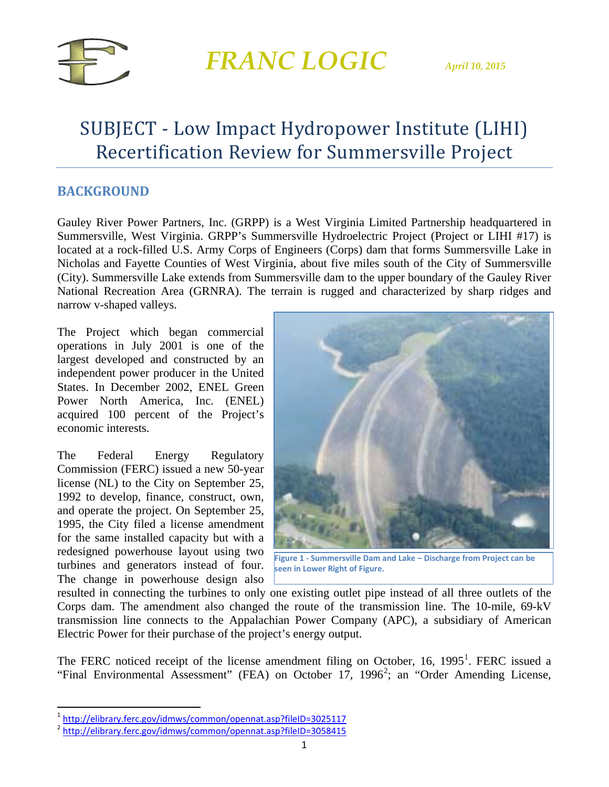

### SUBJECT - Low Impact Hydropower Institute (LIHI) Recertification Review for Summersville Project

#### **BACKGROUND**

Gauley River Power Partners, Inc. (GRPP) is a West Virginia Limited Partnership headquartered in Summersville, West Virginia. GRPP's Summersville Hydroelectric Project (Project or LIHI #17) is located at a rock-filled U.S. Army Corps of Engineers (Corps) dam that forms Summersville Lake in Nicholas and Fayette Counties of West Virginia, about five miles south of the City of Summersville (City). Summersville Lake extends from Summersville dam to the upper boundary of the Gauley River National Recreation Area (GRNRA). The terrain is rugged and characterized by sharp ridges and narrow v-shaped valleys.

The Project which began commercial operations in July 2001 is one of the largest developed and constructed by an independent power producer in the United States. In December 2002, ENEL Green Power North America, Inc. (ENEL) acquired 100 percent of the Project's economic interests.

The Federal Energy Regulatory Commission (FERC) issued a new 50-year license (NL) to the City on September 25, 1992 to develop, finance, construct, own, and operate the project. On September 25, 1995, the City filed a license amendment for the same installed capacity but with a redesigned powerhouse layout using two turbines and generators instead of four. The change in powerhouse design also



**Figure 1 - Summersville Dam and Lake – Discharge from Project can be seen in Lower Right of Figure.**

resulted in connecting the turbines to only one existing outlet pipe instead of all three outlets of the Corps dam. The amendment also changed the route of the transmission line. The 10-mile, 69-kV transmission line connects to the Appalachian Power Company (APC), a subsidiary of American Electric Power for their purchase of the project's energy output.

The FERC noticed receipt of the license amendment filing on October, [1](#page-0-0)6, 1995<sup>1</sup>. FERC issued a "Final Environmental Assessment" (FEA) on October 17, 1996<sup>[2](#page-0-1)</sup>; an "Order Amending License,

<span id="page-0-0"></span> <sup>1</sup> <http://elibrary.ferc.gov/idmws/common/opennat.asp?fileID=3025117>

<span id="page-0-1"></span><sup>&</sup>lt;sup>2</sup> <http://elibrary.ferc.gov/idmws/common/opennat.asp?fileID=3058415>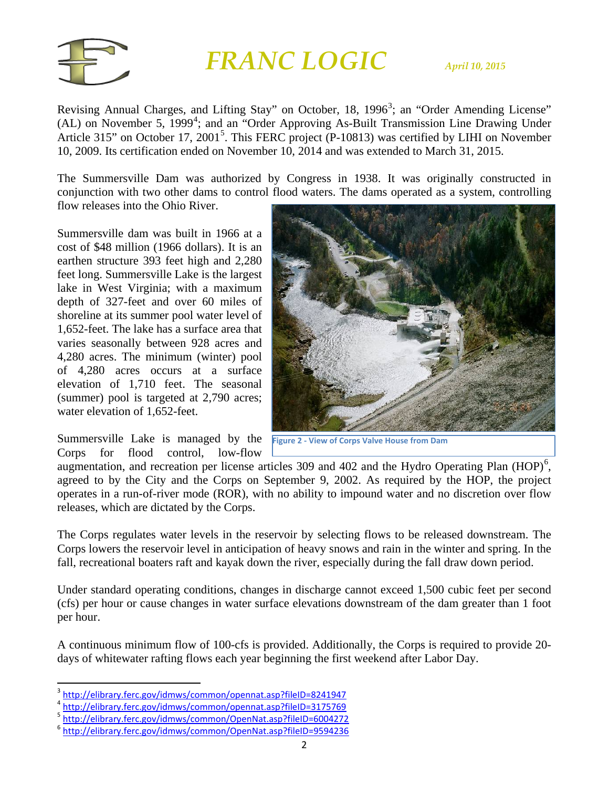

Revising Annual Charges, and Lifting Stay" on October, 18, 1996<sup>[3](#page-1-0)</sup>; an "Order Amending License" (AL) on November 5, 1999<sup>[4](#page-1-1)</sup>; and an "Order Approving As-Built Transmission Line Drawing Under Article 31[5](#page-1-2)" on October 17, 2001<sup>5</sup>. This FERC project (P-10813) was certified by LIHI on November 10, 2009. Its certification ended on November 10, 2014 and was extended to March 31, 2015.

The Summersville Dam was authorized by Congress in 1938. It was originally constructed in conjunction with two other dams to control flood waters. The dams operated as a system, controlling

flow releases into the Ohio River.

Summersville dam was built in 1966 at a cost of \$48 million (1966 dollars). It is an earthen structure 393 feet high and 2,280 feet long. Summersville Lake is the largest lake in West Virginia; with a maximum depth of 327-feet and over 60 miles of shoreline at its summer pool water level of 1,652-feet. The lake has a surface area that varies seasonally between 928 acres and 4,280 acres. The minimum (winter) pool of 4,280 acres occurs at a surface elevation of 1,710 feet. The seasonal (summer) pool is targeted at 2,790 acres; water elevation of 1,652-feet.

Summersville Lake is managed by the **Figure 2 - View of Corps Valve House from Dam**Corps for flood control, low-flow



augmentation, and recreation per license articles 309 and 402 and the Hydro Operating Plan  $(HOP)^6$  $(HOP)^6$ , agreed to by the City and the Corps on September 9, 2002. As required by the HOP, the project operates in a run-of-river mode (ROR), with no ability to impound water and no discretion over flow releases, which are dictated by the Corps.

The Corps regulates water levels in the reservoir by selecting flows to be released downstream. The Corps lowers the reservoir level in anticipation of heavy snows and rain in the winter and spring. In the fall, recreational boaters raft and kayak down the river, especially during the fall draw down period.

Under standard operating conditions, changes in discharge cannot exceed 1,500 cubic feet per second (cfs) per hour or cause changes in water surface elevations downstream of the dam greater than 1 foot per hour.

A continuous minimum flow of 100-cfs is provided. Additionally, the Corps is required to provide 20 days of whitewater rafting flows each year beginning the first weekend after Labor Day.

<span id="page-1-0"></span><sup>&</sup>lt;sup>3</sup> <http://elibrary.ferc.gov/idmws/common/opennat.asp?fileID=8241947>

<sup>4</sup> <http://elibrary.ferc.gov/idmws/common/opennat.asp?fileID=3175769>

<span id="page-1-2"></span><span id="page-1-1"></span><sup>5</sup> <http://elibrary.ferc.gov/idmws/common/OpenNat.asp?fileID=6004272>

<span id="page-1-3"></span><sup>6</sup> <http://elibrary.ferc.gov/idmws/common/OpenNat.asp?fileID=9594236>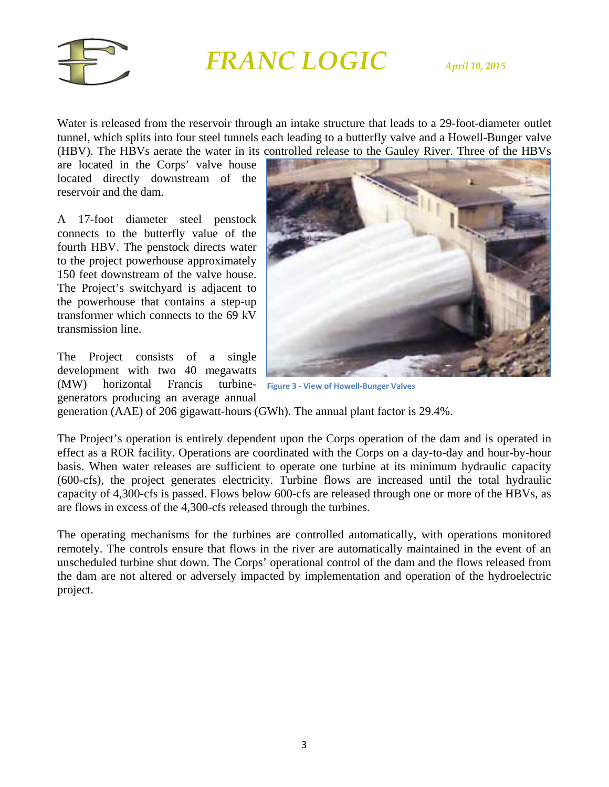

Water is released from the reservoir through an intake structure that leads to a 29-foot-diameter outlet tunnel, which splits into four steel tunnels each leading to a butterfly valve and a Howell-Bunger valve (HBV). The HBVs aerate the water in its controlled release to the Gauley River. Three of the HBVs

are located in the Corps' valve house located directly downstream of the reservoir and the dam.

A 17-foot diameter steel penstock connects to the butterfly value of the fourth HBV. The penstock directs water to the project powerhouse approximately 150 feet downstream of the valve house. The Project's switchyard is adjacent to the powerhouse that contains a step-up transformer which connects to the 69 kV transmission line.

The Project consists of a single development with two 40 megawatts (MW) horizontal Francis turbinegenerators producing an average annual



**Figure 3 - View of Howell-Bunger Valves**

generation (AAE) of 206 gigawatt-hours (GWh). The annual plant factor is 29.4%.

The Project's operation is entirely dependent upon the Corps operation of the dam and is operated in effect as a ROR facility. Operations are coordinated with the Corps on a day-to-day and hour-by-hour basis. When water releases are sufficient to operate one turbine at its minimum hydraulic capacity (600-cfs), the project generates electricity. Turbine flows are increased until the total hydraulic capacity of 4,300-cfs is passed. Flows below 600-cfs are released through one or more of the HBVs, as are flows in excess of the 4,300-cfs released through the turbines.

The operating mechanisms for the turbines are controlled automatically, with operations monitored remotely. The controls ensure that flows in the river are automatically maintained in the event of an unscheduled turbine shut down. The Corps' operational control of the dam and the flows released from the dam are not altered or adversely impacted by implementation and operation of the hydroelectric project.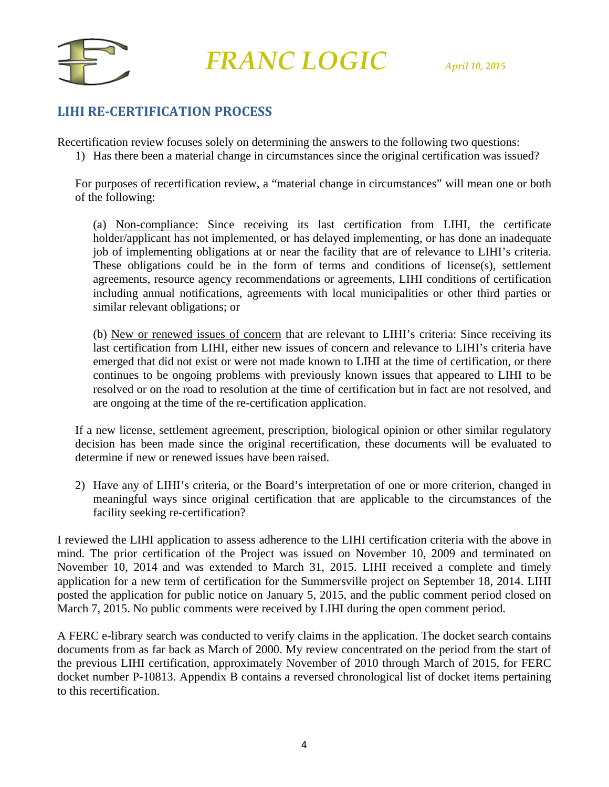

### **LIHI RE-CERTIFICATION PROCESS**

Recertification review focuses solely on determining the answers to the following two questions:

1) Has there been a material change in circumstances since the original certification was issued?

For purposes of recertification review, a "material change in circumstances" will mean one or both of the following:

(a) Non-compliance: Since receiving its last certification from LIHI, the certificate holder/applicant has not implemented, or has delayed implementing, or has done an inadequate job of implementing obligations at or near the facility that are of relevance to LIHI's criteria. These obligations could be in the form of terms and conditions of license(s), settlement agreements, resource agency recommendations or agreements, LIHI conditions of certification including annual notifications, agreements with local municipalities or other third parties or similar relevant obligations; or

(b) New or renewed issues of concern that are relevant to LIHI's criteria: Since receiving its last certification from LIHI, either new issues of concern and relevance to LIHI's criteria have emerged that did not exist or were not made known to LIHI at the time of certification, or there continues to be ongoing problems with previously known issues that appeared to LIHI to be resolved or on the road to resolution at the time of certification but in fact are not resolved, and are ongoing at the time of the re-certification application.

If a new license, settlement agreement, prescription, biological opinion or other similar regulatory decision has been made since the original recertification, these documents will be evaluated to determine if new or renewed issues have been raised.

2) Have any of LIHI's criteria, or the Board's interpretation of one or more criterion, changed in meaningful ways since original certification that are applicable to the circumstances of the facility seeking re-certification?

I reviewed the LIHI application to assess adherence to the LIHI certification criteria with the above in mind. The prior certification of the Project was issued on November 10, 2009 and terminated on November 10, 2014 and was extended to March 31, 2015. LIHI received a complete and timely application for a new term of certification for the Summersville project on September 18, 2014. LIHI posted the application for public notice on January 5, 2015, and the public comment period closed on March 7, 2015. No public comments were received by LIHI during the open comment period.

A FERC e-library search was conducted to verify claims in the application. The docket search contains documents from as far back as March of 2000. My review concentrated on the period from the start of the previous LIHI certification, approximately November of 2010 through March of 2015, for FERC docket number P-10813. Appendix B contains a reversed chronological list of docket items pertaining to this recertification.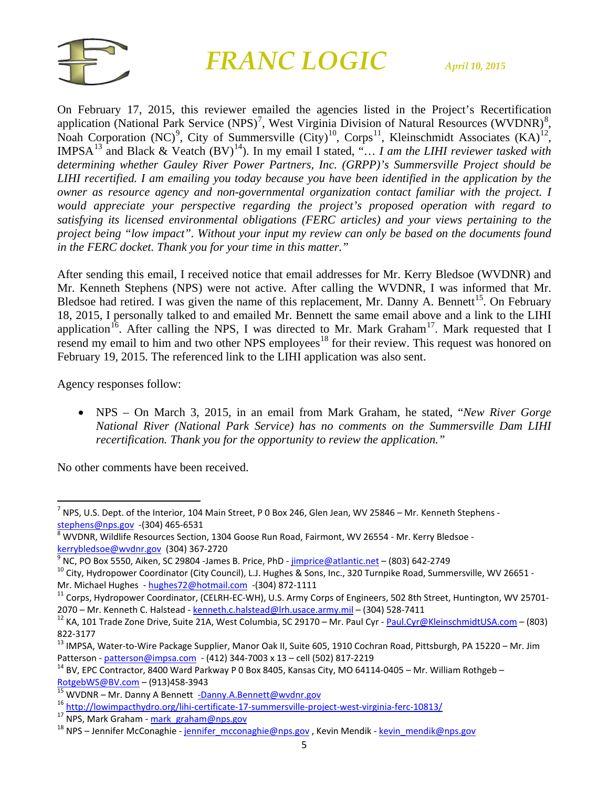

On February 17, 2015, this reviewer emailed the agencies listed in the Project's Recertification application (National Park Service (NPS)<sup>[7](#page-4-0)</sup>, West Virginia Division of Natural Resources (WVDNR)<sup>[8](#page-4-1)</sup>, Noah Corporation (NC)<sup>[9](#page-4-2)</sup>, City of Summersville (City)<sup>[10](#page-4-3)</sup>, Corps<sup>11</sup>, Kleinschmidt Associates (KA)<sup>12</sup>, IMPSA<sup>[13](#page-4-6)</sup> and Black & Veatch (BV)<sup>14</sup>). In my email I stated, "... I am the LIHI reviewer tasked with *determining whether Gauley River Power Partners, Inc. (GRPP)'s Summersville Project should be LIHI recertified. I am emailing you today because you have been identified in the application by the owner as resource agency and non-governmental organization contact familiar with the project. I would appreciate your perspective regarding the project's proposed operation with regard to satisfying its licensed environmental obligations (FERC articles) and your views pertaining to the project being "low impact". Without your input my review can only be based on the documents found in the FERC docket. Thank you for your time in this matter."*

After sending this email, I received notice that email addresses for Mr. Kerry Bledsoe (WVDNR) and Mr. Kenneth Stephens (NPS) were not active. After calling the WVDNR, I was informed that Mr. Bledsoe had retired. I was given the name of this replacement, Mr. Danny A. Bennett<sup>[15](#page-4-8)</sup>. On February 18, 2015, I personally talked to and emailed Mr. Bennett the same email above and a link to the LIHI application<sup>[16](#page-4-9)</sup>. After calling the NPS, I was directed to Mr. Mark Graham<sup>[17](#page-4-10)</sup>. Mark requested that I resend my email to him and two other NPS employees<sup>[18](#page-4-11)</sup> for their review. This request was honored on February 19, 2015. The referenced link to the LIHI application was also sent.

Agency responses follow:

• NPS – On March 3, 2015, in an email from Mark Graham, he stated, "*New River Gorge National River (National Park Service) has no comments on the Summersville Dam LIHI recertification. Thank you for the opportunity to review the application."*

No other comments have been received.

<span id="page-4-0"></span> $^7$  NPS, U.S. Dept. of the Interior, 104 Main Street, P 0 Box 246, Glen Jean, WV 25846 – Mr. Kenneth Stephens [stephens@nps.gov](mailto:stephens@nps.gov) -(304) 465-6531<br><sup>8</sup> WVDNR, Wildlife Resources Section, 1304 Goose Run Road, Fairmont, WV 26554 - Mr. Kerry Bledsoe -

<span id="page-4-1"></span>

<span id="page-4-3"></span><span id="page-4-2"></span>

kerrybledsoe@wydnr.gov (304) 367-2720<br><sup>9</sup> NC, PO Box 5550, Aiken, SC 29804 -James B. Price, PhD - <u>[jimprice@atlantic.net](mailto:jimprice@atlantic.net)</u> – (803) 642-2749<br><sup>10</sup> City, Hydropower Coordinator (City Council), L.J. Hughes & Sons, Inc., 320 Tur Mr. Michael Hughes - [hughes72@hotmail.com](mailto:hughes72@hotmail.com) -(304) 872-1111<br><sup>11</sup> Corps, Hydropower Coordinator, (CELRH-EC-WH), U.S. Army Corps of Engineers, 502 8th Street, Huntington, WV 25701-

<span id="page-4-4"></span><sup>2070 –</sup> Mr. Kenneth C. Halstead - [kenneth.c.halstead@lrh.usace.army.mil](mailto:kenneth.c.halstead@lrh.usace.army.mil) – (304) 528-7411<br><sup>12</sup> KA, 101 Trade Zone Drive, Suite 21A, West Columbia, SC 29170 – Mr. Paul Cyr - <u>[Paul.Cyr@KleinschmidtUSA.com](mailto:Paul.Cyr@KleinschmidtUSA.com)</u> – (803)

<span id="page-4-5"></span><sup>822-3177&</sup>lt;br><sup>13</sup> IMPSA, Water-to-Wire Package Supplier, Manor Oak II, Suite 605, 1910 Cochran Road, Pittsburgh, PA 15220 – Mr. Jim

<span id="page-4-6"></span>Patterson - *patterson@impsa.com* - (412) 344-7003 x 13 – cell (502) 817-2219<br><sup>14</sup> BV, EPC Contractor, 8400 Ward Parkway P 0 Box 8405, Kansas City, MO 64114-0405 – Mr. William Rothgeb –

<span id="page-4-7"></span>[RotgebWS@BV.com](mailto:RotgebWS@BV.com) – (913)458-3943<br>
<sup>15</sup> WVDNR – Mr. Danny A Bennett <u>[-Danny.A.Bennett@wvdnr.gov](mailto:-Danny.A.Bennett@wvdnr.gov)</u><br>
<sup>16</sup> <http://lowimpacthydro.org/lihi-certificate-17-summersville-project-west-virginia-ferc-10813/><br>
<sup>17</sup> NPS, Mark Graham - <u>ma</u>

<span id="page-4-9"></span><span id="page-4-8"></span>

<span id="page-4-10"></span>

<span id="page-4-11"></span>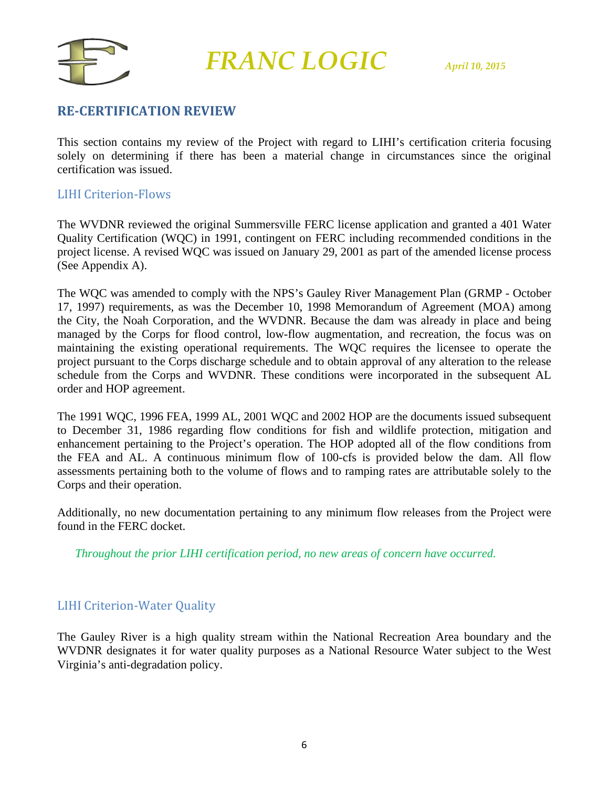

#### **RE-CERTIFICATION REVIEW**

This section contains my review of the Project with regard to LIHI's certification criteria focusing solely on determining if there has been a material change in circumstances since the original certification was issued.

#### LIHI Criterion-Flows

The WVDNR reviewed the original Summersville FERC license application and granted a 401 Water Quality Certification (WQC) in 1991, contingent on FERC including recommended conditions in the project license. A revised WQC was issued on January 29, 2001 as part of the amended license process (See Appendix A).

The WQC was amended to comply with the NPS's Gauley River Management Plan (GRMP - October 17, 1997) requirements, as was the December 10, 1998 Memorandum of Agreement (MOA) among the City, the Noah Corporation, and the WVDNR. Because the dam was already in place and being managed by the Corps for flood control, low-flow augmentation, and recreation, the focus was on maintaining the existing operational requirements. The WQC requires the licensee to operate the project pursuant to the Corps discharge schedule and to obtain approval of any alteration to the release schedule from the Corps and WVDNR. These conditions were incorporated in the subsequent AL order and HOP agreement.

The 1991 WQC, 1996 FEA, 1999 AL, 2001 WQC and 2002 HOP are the documents issued subsequent to December 31, 1986 regarding flow conditions for fish and wildlife protection, mitigation and enhancement pertaining to the Project's operation. The HOP adopted all of the flow conditions from the FEA and AL. A continuous minimum flow of 100-cfs is provided below the dam. All flow assessments pertaining both to the volume of flows and to ramping rates are attributable solely to the Corps and their operation.

Additionally, no new documentation pertaining to any minimum flow releases from the Project were found in the FERC docket.

*Throughout the prior LIHI certification period, no new areas of concern have occurred.*

#### LIHI Criterion-Water Quality

The Gauley River is a high quality stream within the National Recreation Area boundary and the WVDNR designates it for water quality purposes as a National Resource Water subject to the West Virginia's anti-degradation policy.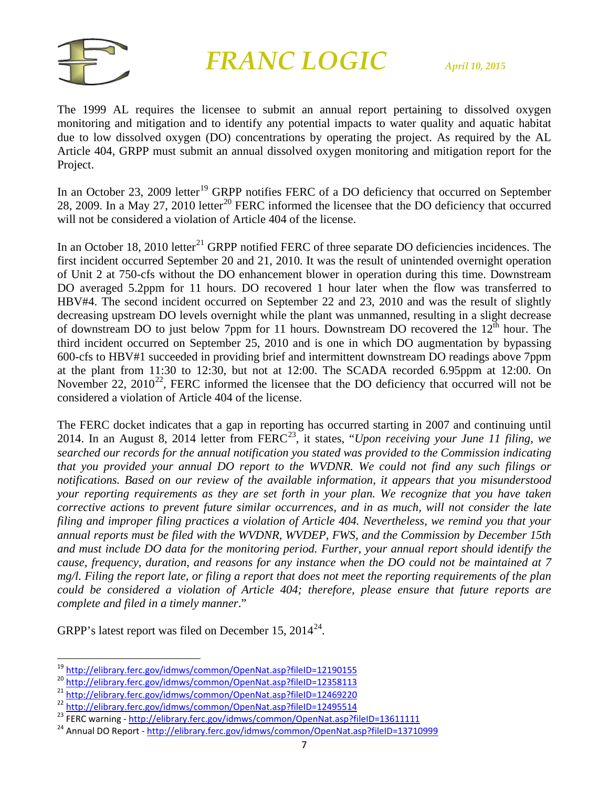

The 1999 AL requires the licensee to submit an annual report pertaining to dissolved oxygen monitoring and mitigation and to identify any potential impacts to water quality and aquatic habitat due to low dissolved oxygen (DO) concentrations by operating the project. As required by the AL Article 404, GRPP must submit an annual dissolved oxygen monitoring and mitigation report for the Project.

In an October 23, 2009 letter<sup>[19](#page-6-0)</sup> GRPP notifies FERC of a DO deficiency that occurred on September 28, [20](#page-6-1)09. In a May 27, 2010 letter<sup>20</sup> FERC informed the licensee that the DO deficiency that occurred will not be considered a violation of Article 404 of the license.

In an October 18, 2010 letter<sup>[21](#page-6-2)</sup> GRPP notified FERC of three separate DO deficiencies incidences. The first incident occurred September 20 and 21, 2010. It was the result of unintended overnight operation of Unit 2 at 750-cfs without the DO enhancement blower in operation during this time. Downstream DO averaged 5.2ppm for 11 hours. DO recovered 1 hour later when the flow was transferred to HBV#4. The second incident occurred on September 22 and 23, 2010 and was the result of slightly decreasing upstream DO levels overnight while the plant was unmanned, resulting in a slight decrease of downstream DO to just below 7ppm for 11 hours. Downstream DO recovered the  $12^{\text{th}}$  hour. The third incident occurred on September 25, 2010 and is one in which DO augmentation by bypassing 600-cfs to HBV#1 succeeded in providing brief and intermittent downstream DO readings above 7ppm at the plant from 11:30 to 12:30, but not at 12:00. The SCADA recorded 6.95ppm at 12:00. On November [22](#page-6-3),  $2010^{22}$ , FERC informed the licensee that the DO deficiency that occurred will not be considered a violation of Article 404 of the license.

The FERC docket indicates that a gap in reporting has occurred starting in 2007 and continuing until 2014. In an August 8, 2014 letter from FERC<sup>23</sup>, it states, "*Upon receiving your June 11 filing, we searched our records for the annual notification you stated was provided to the Commission indicating that you provided your annual DO report to the WVDNR. We could not find any such filings or notifications. Based on our review of the available information, it appears that you misunderstood your reporting requirements as they are set forth in your plan. We recognize that you have taken corrective actions to prevent future similar occurrences, and in as much, will not consider the late filing and improper filing practices a violation of Article 404. Nevertheless, we remind you that your annual reports must be filed with the WVDNR, WVDEP, FWS, and the Commission by December 15th and must include DO data for the monitoring period. Further, your annual report should identify the cause, frequency, duration, and reasons for any instance when the DO could not be maintained at 7 mg/l. Filing the report late, or filing a report that does not meet the reporting requirements of the plan could be considered a violation of Article 404; therefore, please ensure that future reports are complete and filed in a timely manner*."

GRPP's latest report was filed on December 15,  $2014^{24}$ .

<span id="page-6-4"></span><span id="page-6-3"></span>

<span id="page-6-1"></span>

<span id="page-6-2"></span>

<span id="page-6-0"></span><sup>&</sup>lt;sup>19</sup><br><http://elibrary.ferc.gov/idmws/common/OpenNat.asp?fileID=12190155><br><sup>20</sup><br><http://elibrary.ferc.gov/idmws/common/OpenNat.asp?fileID=12358113><br><sup>21</sup><br><http://elibrary.ferc.gov/idmws/common/OpenNat.asp?fileID=12469220><br><sup>22</sup> http

<span id="page-6-5"></span>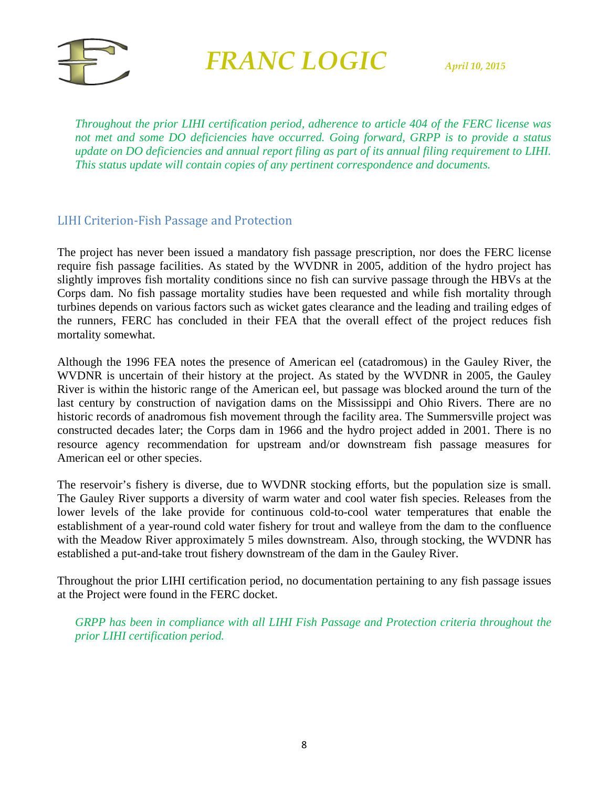

*Throughout the prior LIHI certification period, adherence to article 404 of the FERC license was not met and some DO deficiencies have occurred. Going forward, GRPP is to provide a status update on DO deficiencies and annual report filing as part of its annual filing requirement to LIHI. This status update will contain copies of any pertinent correspondence and documents.* 

#### LIHI Criterion-Fish Passage and Protection

The project has never been issued a mandatory fish passage prescription, nor does the FERC license require fish passage facilities. As stated by the WVDNR in 2005, addition of the hydro project has slightly improves fish mortality conditions since no fish can survive passage through the HBVs at the Corps dam. No fish passage mortality studies have been requested and while fish mortality through turbines depends on various factors such as wicket gates clearance and the leading and trailing edges of the runners, FERC has concluded in their FEA that the overall effect of the project reduces fish mortality somewhat.

Although the 1996 FEA notes the presence of American eel (catadromous) in the Gauley River, the WVDNR is uncertain of their history at the project. As stated by the WVDNR in 2005, the Gauley River is within the historic range of the American eel, but passage was blocked around the turn of the last century by construction of navigation dams on the Mississippi and Ohio Rivers. There are no historic records of anadromous fish movement through the facility area. The Summersville project was constructed decades later; the Corps dam in 1966 and the hydro project added in 2001. There is no resource agency recommendation for upstream and/or downstream fish passage measures for American eel or other species.

The reservoir's fishery is diverse, due to WVDNR stocking efforts, but the population size is small. The Gauley River supports a diversity of warm water and cool water fish species. Releases from the lower levels of the lake provide for continuous cold-to-cool water temperatures that enable the establishment of a year-round cold water fishery for trout and walleye from the dam to the confluence with the Meadow River approximately 5 miles downstream. Also, through stocking, the WVDNR has established a put-and-take trout fishery downstream of the dam in the Gauley River.

Throughout the prior LIHI certification period, no documentation pertaining to any fish passage issues at the Project were found in the FERC docket.

*GRPP has been in compliance with all LIHI Fish Passage and Protection criteria throughout the prior LIHI certification period.*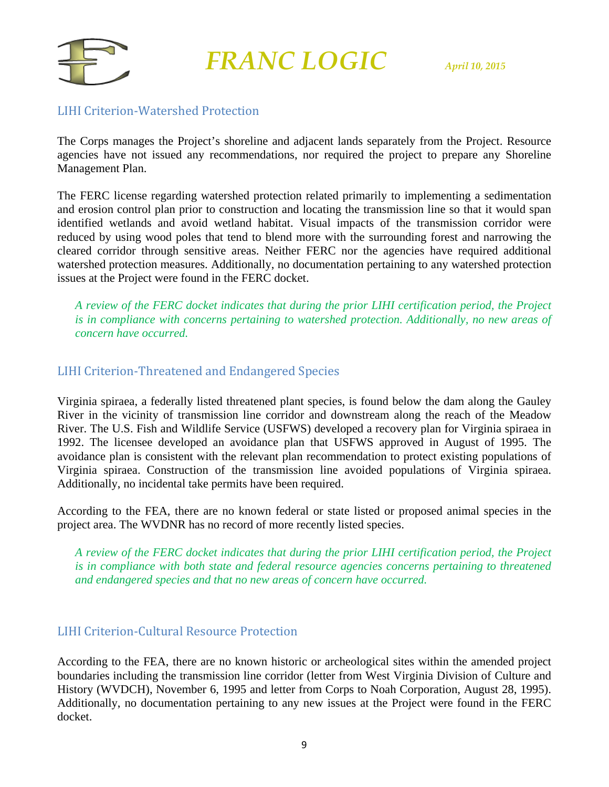

#### LIHI Criterion-Watershed Protection

The Corps manages the Project's shoreline and adjacent lands separately from the Project. Resource agencies have not issued any recommendations, nor required the project to prepare any Shoreline Management Plan.

The FERC license regarding watershed protection related primarily to implementing a sedimentation and erosion control plan prior to construction and locating the transmission line so that it would span identified wetlands and avoid wetland habitat. Visual impacts of the transmission corridor were reduced by using wood poles that tend to blend more with the surrounding forest and narrowing the cleared corridor through sensitive areas. Neither FERC nor the agencies have required additional watershed protection measures. Additionally, no documentation pertaining to any watershed protection issues at the Project were found in the FERC docket.

*A review of the FERC docket indicates that during the prior LIHI certification period, the Project is in compliance with concerns pertaining to watershed protection. Additionally, no new areas of concern have occurred.*

#### LIHI Criterion-Threatened and Endangered Species

Virginia spiraea, a federally listed threatened plant species, is found below the dam along the Gauley River in the vicinity of transmission line corridor and downstream along the reach of the Meadow River. The U.S. Fish and Wildlife Service (USFWS) developed a recovery plan for Virginia spiraea in 1992. The licensee developed an avoidance plan that USFWS approved in August of 1995. The avoidance plan is consistent with the relevant plan recommendation to protect existing populations of Virginia spiraea. Construction of the transmission line avoided populations of Virginia spiraea. Additionally, no incidental take permits have been required.

According to the FEA, there are no known federal or state listed or proposed animal species in the project area. The WVDNR has no record of more recently listed species.

*A review of the FERC docket indicates that during the prior LIHI certification period, the Project is in compliance with both state and federal resource agencies concerns pertaining to threatened and endangered species and that no new areas of concern have occurred.*

#### LIHI Criterion-Cultural Resource Protection

According to the FEA, there are no known historic or archeological sites within the amended project boundaries including the transmission line corridor (letter from West Virginia Division of Culture and History (WVDCH), November 6, 1995 and letter from Corps to Noah Corporation, August 28, 1995). Additionally, no documentation pertaining to any new issues at the Project were found in the FERC docket.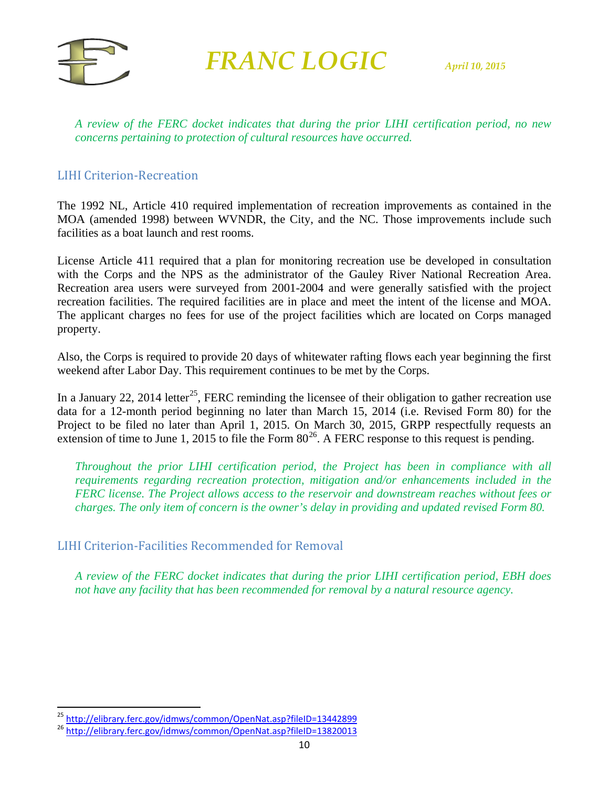

*A review of the FERC docket indicates that during the prior LIHI certification period, no new concerns pertaining to protection of cultural resources have occurred.* 

#### LIHI Criterion-Recreation

The 1992 NL, Article 410 required implementation of recreation improvements as contained in the MOA (amended 1998) between WVNDR, the City, and the NC. Those improvements include such facilities as a boat launch and rest rooms.

License Article 411 required that a plan for monitoring recreation use be developed in consultation with the Corps and the NPS as the administrator of the Gauley River National Recreation Area. Recreation area users were surveyed from 2001-2004 and were generally satisfied with the project recreation facilities. The required facilities are in place and meet the intent of the license and MOA. The applicant charges no fees for use of the project facilities which are located on Corps managed property.

Also, the Corps is required to provide 20 days of whitewater rafting flows each year beginning the first weekend after Labor Day. This requirement continues to be met by the Corps.

In a January 22, 2014 letter<sup>25</sup>, FERC reminding the licensee of their obligation to gather recreation use data for a 12-month period beginning no later than March 15, 2014 (i.e. Revised Form 80) for the Project to be filed no later than April 1, 2015. On March 30, 2015, GRPP respectfully requests an extension of time to June 1, 2015 to file the Form  $80^{26}$ . A FERC response to this request is pending.

*Throughout the prior LIHI certification period, the Project has been in compliance with all requirements regarding recreation protection, mitigation and/or enhancements included in the FERC license. The Project allows access to the reservoir and downstream reaches without fees or charges. The only item of concern is the owner's delay in providing and updated revised Form 80.* 

#### LIHI Criterion-Facilities Recommended for Removal

*A review of the FERC docket indicates that during the prior LIHI certification period, EBH does not have any facility that has been recommended for removal by a natural resource agency.*

<span id="page-9-0"></span><sup>&</sup>lt;sup>25</sup> <http://elibrary.ferc.gov/idmws/common/OpenNat.asp?fileID=13442899><br><sup>26</sup> <http://elibrary.ferc.gov/idmws/common/OpenNat.asp?fileID=13820013>

<span id="page-9-1"></span>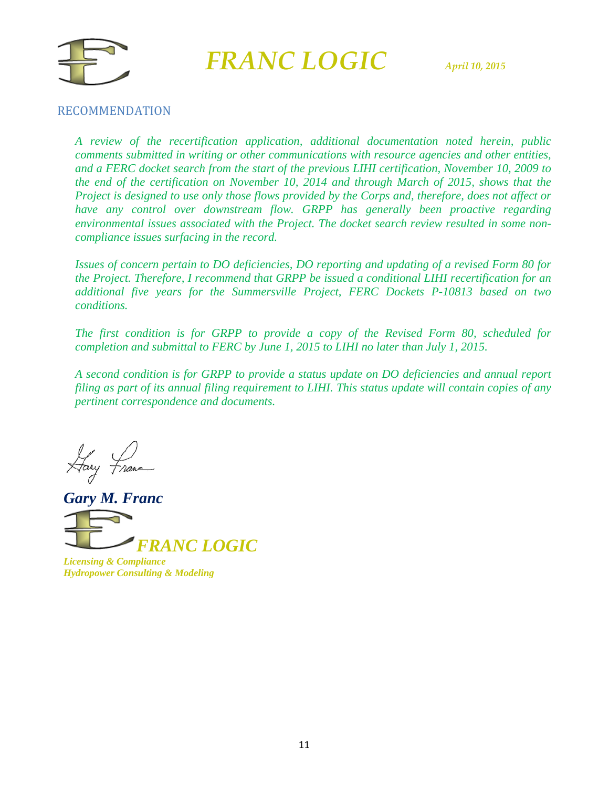



#### RECOMMENDATION

*A review of the recertification application, additional documentation noted herein, public comments submitted in writing or other communications with resource agencies and other entities, and a FERC docket search from the start of the previous LIHI certification, November 10, 2009 to the end of the certification on November 10, 2014 and through March of 2015, shows that the Project is designed to use only those flows provided by the Corps and, therefore, does not affect or have any control over downstream flow. GRPP has generally been proactive regarding environmental issues associated with the Project. The docket search review resulted in some noncompliance issues surfacing in the record.* 

*Issues of concern pertain to DO deficiencies, DO reporting and updating of a revised Form 80 for the Project. Therefore, I recommend that GRPP be issued a conditional LIHI recertification for an additional five years for the Summersville Project, FERC Dockets P-10813 based on two conditions.*

*The first condition is for GRPP to provide a copy of the Revised Form 80, scheduled for completion and submittal to FERC by June 1, 2015 to LIHI no later than July 1, 2015.*

*A second condition is for GRPP to provide a status update on DO deficiencies and annual report filing as part of its annual filing requirement to LIHI. This status update will contain copies of any pertinent correspondence and documents.*

Hary France

*Gary M. Franc*



*Licensing & Compliance Hydropower Consulting & Modeling*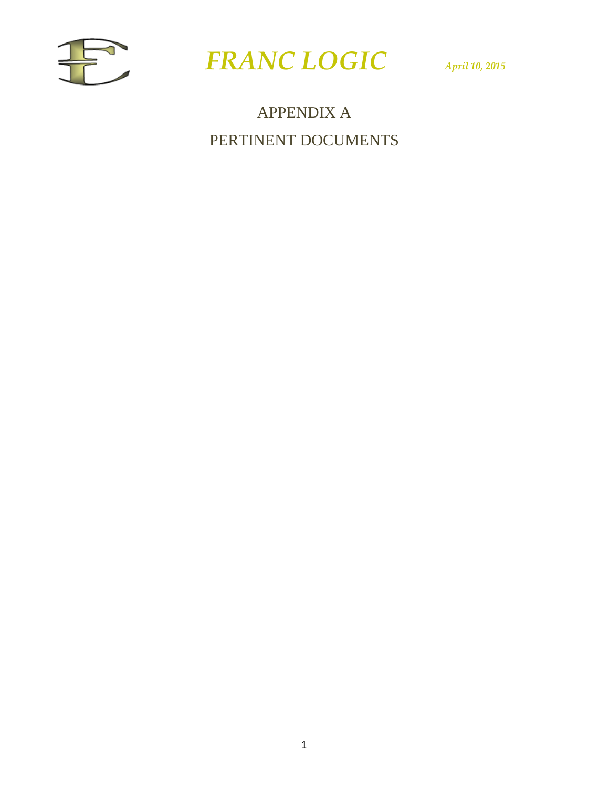



### APPENDIX A PERTINENT DOCUMENTS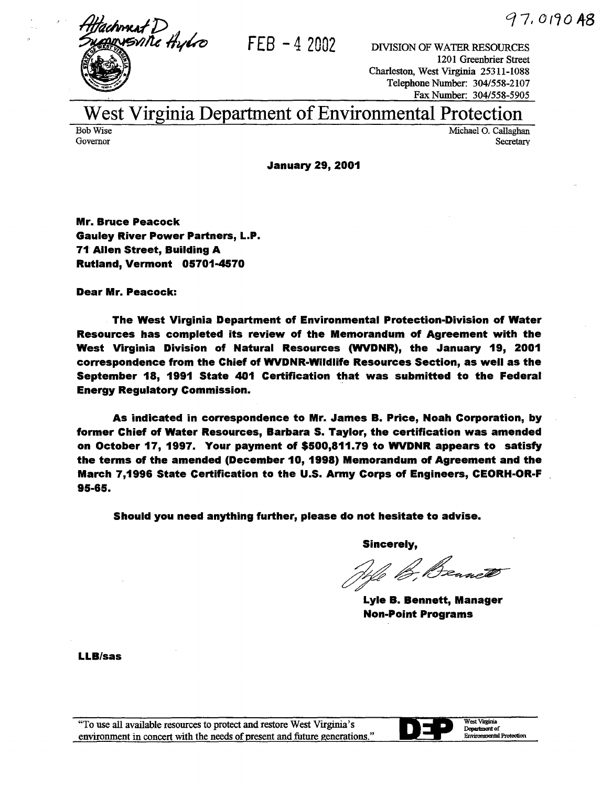

 $FEB - 4$  2002 DIVISION OF WATER RESOURCES

1201 Greenbrier Street Charleston, West Virginia 25311-1088 Telephone Number: 304/558-2107 Fax Number: 304/558-5905

### West Virginia Department of Environmental Protection

Bob Wise Governor

Michael 0. Callaghan Secretary

January 29, 2001

Mr. Bruce Peacock Gauley River Power Partners, L.P. 71 Allen Street, Building A Rutland, Vermont 05701-4570

Dear Mr. Peacock:

The West Virginia Department of Environmental Protection-Division of Water Resources has completed its review of the Memorandum of Agreement with the West Virginia Division of Natural Resources (WVDNR), the January 19, 2001 correspondence from the Chief of WVDNR-Wildlife Resources Section, as well as the September 18, 1991 State 401 Certification that was submitted to the Federal Energy Regulatory Commission.

As indicated in correspondence to Mr. James B. Price, Noah Corporation, by former Chief of Water Resources, Barbara S. Taylor, the certification was amended on October 17, 1997. Your payment of \$500,811.79 to WVDNR appears to satisfy the terms of the amended (December 10, 1998) Memorandum of Agreement and the March 7,1996 State Certification to the U.S. Army Corps of Engineers, CEORH·OR·F 95-65.

Should you need anything further, please do not hesitate to advise.

Sincerely,

We B. Beanett

Lyle B. Bennett, Manager Non-Point Programs

LLB/sas



West Virginia Department of Environmental Protection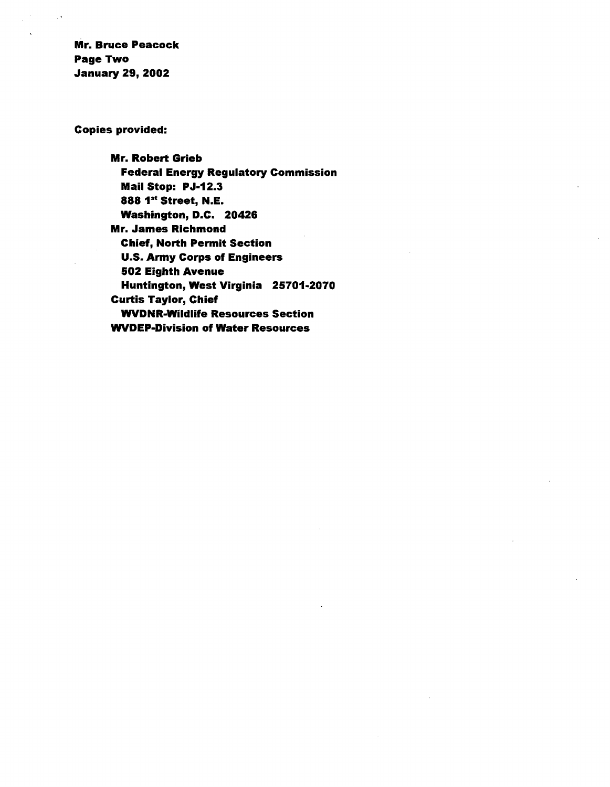Mr. Bruce Peacock Page Two January 29, 2002

Copies provided:

Mr. Robert Grieb Federal Energy Regulatory Commission Mail Stop: PJ-12.3 888 1st Street, N.E. Washington, D.C. 20426 Mr. James Richmond Chief, North Permit Section U.S. Army Corps of Engineers 502 Eighth Avenue Huntington, West Virginia 25701-2070 Curtis Taylor, Chief WVDNR-Wildlife Resources Section WVDEP·Division of Water Resources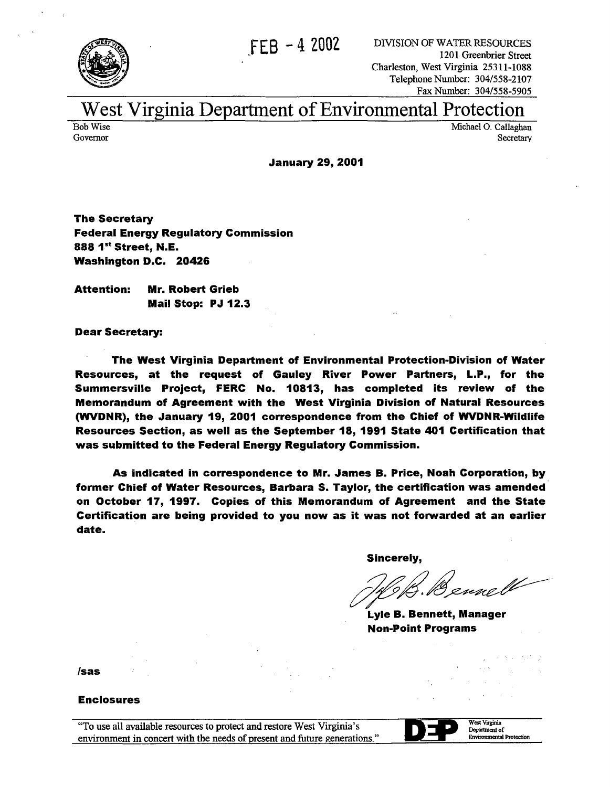



FEB - 4 2002 DIVISION OF WATER RESOURCES 1201 Greenbrier Street Charleston, West Virginia 25311-1088 Telephone Number: 304/558-2107 Fax Number: 304/558-5905

### West Virginia Department of Environmental Protection

Bob Wise Governor

Michael 0. Callaghan Secretary

January 29, 2001

The Secretary Federal Energy Regulatory Commission 888 1<sup>st</sup> Street. N.E. Washington D.C. 20426

Attention: Mr. Robert Grieb Mail Stop: PJ 12.3

Dear Secretary:

The West Virginia Department of Environmental Protection-Division of Water Resources, at the request of Gauley River Power Partners, L.P., for the Summersville Project, FERC No. 10813, has completed its review of the Memorandum of Agreement with the West Virginia Division of Natural Resources (WVDNR), the January 19, 2001 correspondence from the Chief of WVDNR-Wildlife Resources Section, as well as the September 18, 1991 State 401 Certification that was submitted to the Federal Energy Regulatory Commission.

As indicated in correspondence to Mr. James B. Price, Noah Corporation, by former Chief of Water Resources, Barbara S. Taylor, the certification was amended on October 17, 1997. Copies of this Memorandum of Agreement and the State Certification are being provided to you now as it was not forwarded at an earlier date.

Sincerely,

JA. Bennell

Lyle B. Bennett, Manager Non-Point Programs

/sas

#### Enclosures

"To use all available resources to protect and restore West Virginia's environment in concert with the needs of present and future generations."



West Vuginia Department of Enviromnental Protection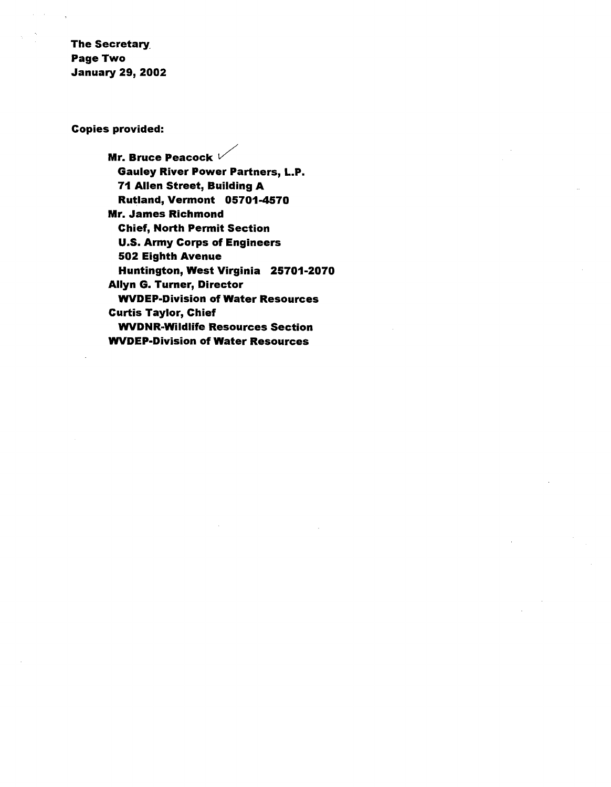The Secretary\_ Page Two January 29, 2002

Copies provided:

Mr. Bruce Peacock  $V$ Gauley River Power Partners, L.P. 71 Allen Street, Building A Rutland, Vermont 05701-4570 Mr. James Richmond Chief, North Permit Section U.S. Army Corps of Engineers 502 Eighth Avenue Huntington, West Virginia 25701-2070 Allyn G. Turner, Director WVDEP-Division of Water Resources Curtis Taylor, Chief WVDNR-Wildlife Resources Section WVDEP-Division of Water Resources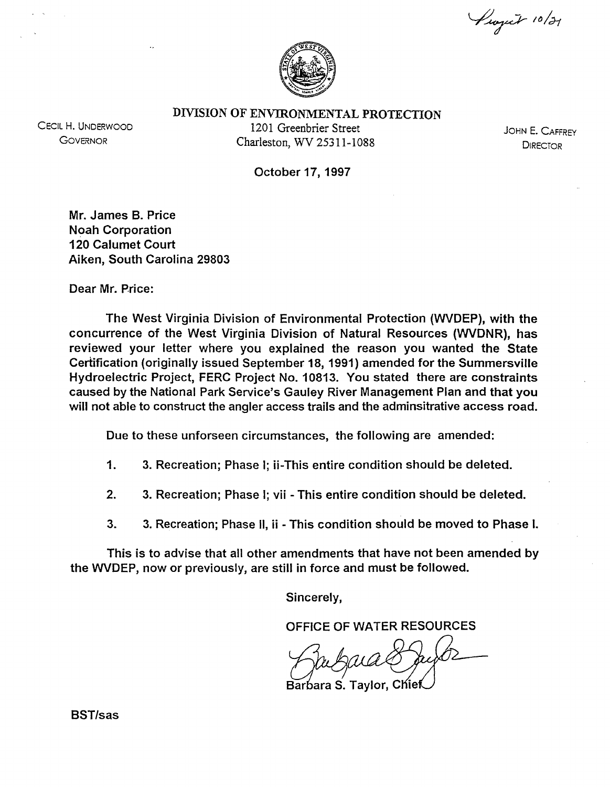Project 10/21



DIVISION OF ENVIRONMENTAL PROTECTION

CECIL H. UNDERWOOD **GOVERNOR** 

1201 Greenbrier Street Charleston, WV 25311-1088

JOHN E. CAFFREY **DIRECTOR** 

October 17, 1997

Mr. James B. Price Noah Corporation 120 Calumet Court Aiken, South Carolina 29803

Dear Mr. Price:

The West Virginia Division of Environmental Protection (WVDEP), with the concurrence of the West Virginia Division of Natural Resources (WVDNR), has reviewed your letter where you explained the reason you wanted the State Certification (originally issued September 18, 1991) amended for the Summersville Hydroelectric Project, FERC Project No. 10813. You stated there are constraints caused by the National Park Service's Gauley River Management Plan and that you will not able to construct the angler access trails and the adminsitrative access road.

Due to these unforseen circumstances, the following are amended:

- 1. 3. Recreation; Phase I; ii-This entire condition should be deleted.
- 2. 3. Recreation; Phase I; vii- This entire condition should be deleted.
- 3. 3. Recreation; Phase II, ii This condition should be moved to Phase I.

This is to advise that all other amendments that have not been amended by the WVDEP, now or previously, are still in force and must be followed.

Sincerely,

OFFICE OF WATER RESOURCES

Barbara S. Taylor, Chief

BST/sas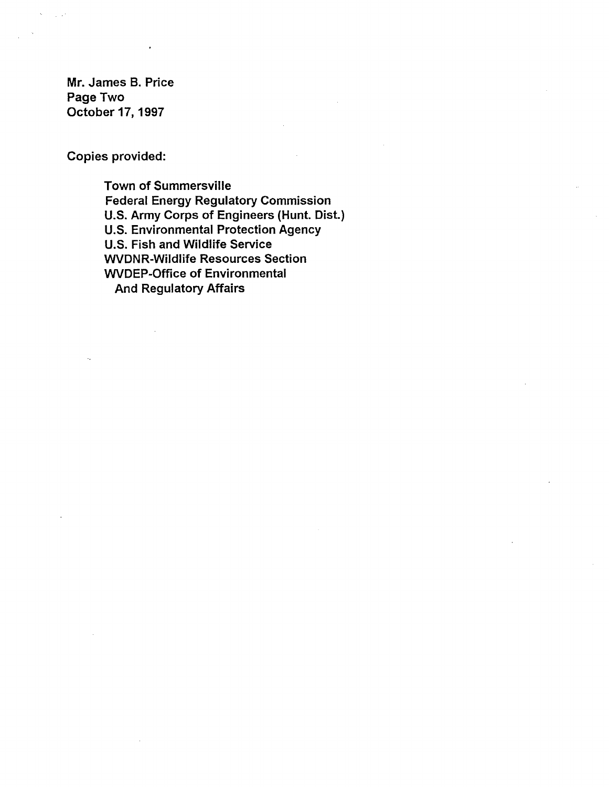Mr. James B. Price Page Two October 17, 1997

Copies provided:

Town of Summersville Federal Energy Regulatory Commission U.S. Army Corps of Engineers (Hunt. Dist.) U.S. Environmental Protection Agency U.S. Fish and Wildlife Service WVDNR-Wildlife Resources Section WVDEP-Office of Environmental And Regulatory Affairs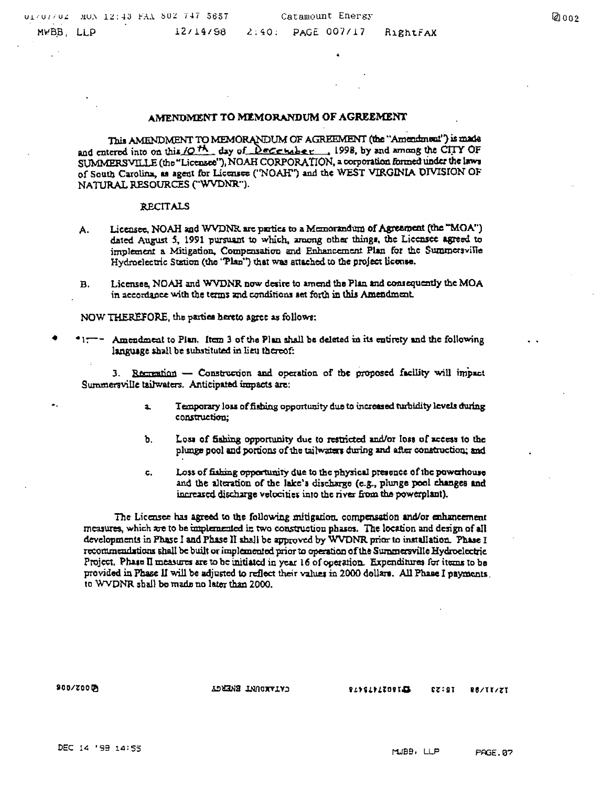#### AMENDMENT TO MEMORANDUM OF AGREEMENT

This AMENDMENT TO MEMORANDUM OF AGREEMENT (the "Amendment") is made and entered into on this  $\sqrt{Q}$ <sup>th</sup>, day of December , 1998, by and among the CITY OF SUMMERSVILLE (the "Licensee"), NOAH CORPORATION. a corporation formed under the laws of South Carolina, as agent for Licensee ('NOAH") and the WEST VIRGINIA DIVISION OF NATURAL RESOURCES ("WVDNR").

#### :R.ECITALS

- A. Licensee, NOAH and WVDNR are parties to a Memorandum of Agreement (the "MOA") dated August 5, 1991 pursuant to which, among other things, the Liecnsee agreed to implement a Mitigation. Compensation and Enhancement Plan for the Summersville Hydrocleetric Station (the 'Plan'') that was attached to the project liconse.
- B. Licensee, NOAH and WVDNR now desire to amend the Plan and consequently the MOA in accordance with the terms and conditions set forth in this Amendment.

NOW THEREFORE, the parties hereto agree as follows:

•  $•1:--$  Amendment to Pian. Item 3 of the Plan shall be deleted in its entirety and the following language shall be substituted in lieu thereof:

3. Recreation - Construction and operation of the proposed facility will impact. Summersville tailwaters. Anticipated impacts are:

- a. Temporary loss of fishing opportunity due to increased turbidity levels during construction;
- b. Loss of fishing opportunity due to restricted and/or loss of access to the plunge pool and portions of the tailwaters during and after construction; and
- c. Loss of fishing opportunity due to the physical presence of the powerhouse and the alteration of the lake's discharge (e.g., plunge pool changes and increased discharge velocities into the river from the powerplant).

The Licensee has agreed to the following mitigation, compensation and/or enhancement measures, which are to be implemented in two construction phases. The location and design of all developments in Phase 1 and Phase II shall be approved by WVDNR prior to installation. Phase I recommendations shall be built or implemented prior to operation of the Summersville Hydroclectric Project. Phase II measures are to be initiated in year 16 of operation. Expenditures for items to be provided in Phase II will be adjusted to reflect their values in 2000 dollars. All Phase I payments. to WVDNR shall be made no later than 2000.

SIOOn'OOQ!j

..

CATAME TWUCKATAJ

2496494209143  $I2:57$ **REALLYST**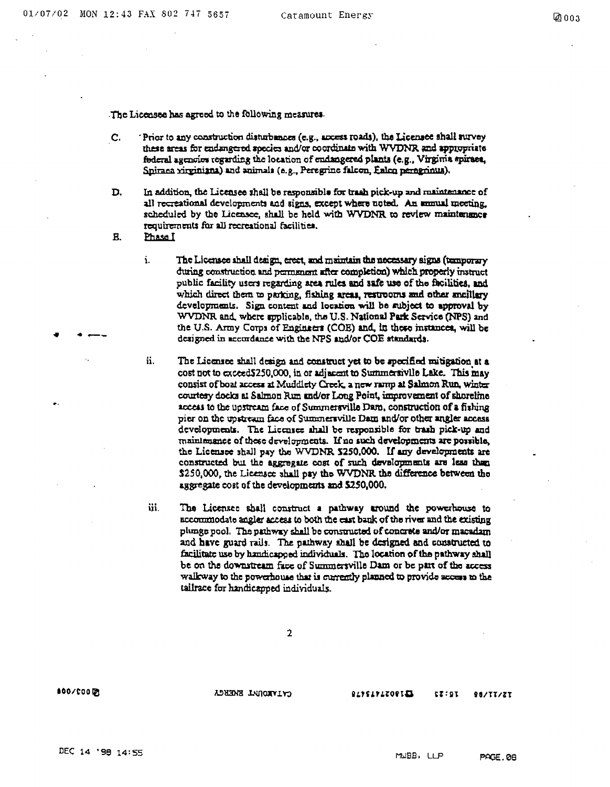The Licensee has agreed to the following measures.

- C. Frior to any construction disturbances (e.g., access roads), the Licensee shall survey these areas for endangered species and/or coordinate with WVDNR and appropriate federal agencies regarding the location of endangered plants (e.g., Virginia spiraes, Spiraea xirginiana) and animals (e.g., Peregrine falcon, Ealco peregrinus).
- D. In addition, the Licensee shall be rasponsible for trash pick-up and maintenance of all recreational developments and signs, except where noted. An immust meeting. scheduled by the Licensee, shall be held with WVDNR to review maintenance requirements for all recreational facilities.
- **B.** Phase I
	- i. The Liccinage shall deaign, erect, and maintain the necessary signs (temporary during construction and permanent after completion) which properly instruct public facility users regarding area rules and safe use of the facilities, and which direct them to parking, fishing areas, restrooms and other ancillary developments. Sign content and location will be subject to approval by WVDNR and, where applicable, the U.S. National Park Service (NPS) and the U.S. Army Corps of Engineers (COE) and, in these instances, will be designed in accordance with the NPS and/or COE atandards.
	- ii. The Liccnsee shall design and construct yet to be specified mitigation at a cost not to exceedS250,000, in or adjacent to Summertivile Lake. This may consist of boat access at Muddlety Creek. a new ramp at Salmon Run, winter courtesy docks at Salmon Run and/or Long Point, improvement of shoreline access to the upstream face of Summersville Dam, construction of a fishing pier on the upstream face of Summersville Dam and/or other angler access developments. The Licensee shall be responsible for trash pick-up and maintenance of these developments. If no such developments are possible, the Licensee shall pay the WVDNR S250,000. If any developments are constructed but the aggregate cost of such developments are less then \$250,000, the Licensee shall pay the WVDNR the difference between the aggregate cost of the developments and  $$250,000$ .
	- ii. The Licensee shall construct a pathway uround the powerhouse to accommodate angler access to both the cast bank of the river and the existing plunge pool. The pathway shall be constructed of concrete and/or macadam and have guard rails. The pathway shall be designed and constructed to facilitate use by handicapped individuals. The location of the pathway shall be on the downstream face of Summersville Dam or be part of the access walkway to the powerhouse that is currently planned to provide access to the tailrace for handicapped individuals.

100/000 12

. .. ..,\_\_

ADHENE INDONYIYO

**BLYSLYLZOPIE**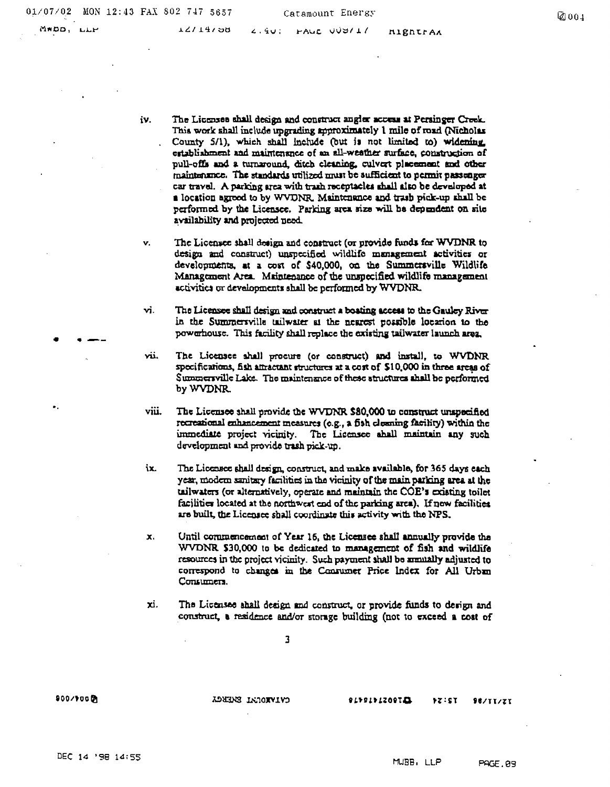• . --

..

iv. The Licenses shall design and construct angler access at Persinger Creek. This work shall include upgrading approximately 1 mile of road (Nicholas County 5/1), which shall include (but is not limited to) widening establishment and maintenance of an all-weather surface, construction of County 5/1), which shall include (but is not limited to) widening<br>establishment and maintenance of an all-weather surface, construction of<br>pull-offs and a turnaround, ditch cleaning, culvcrt placement and other<br>maintenance pull-offs and a turnaround, ditch cleaning, culvert placement and other maintenance. The standards utilized must be sufficient to permit passenger car travel. A parking area with trash receptacles shall also be developed at a location agreed to by WVDNR. Maintenance and trash pick-up shall be performed by the Licensee. Parking area size will be dependent on site ~vailabillty and projected Deed.

v. The Licensee shall design and construct (or provide funds for WVDNR to design and construct) unspecified wildlife management activities or developments, at a cost of \$40,000, on the Summersville Wildlife Management Area. Maintenance of the unspecified wildlife management. activities or developments shall be performed by WVDNR.

vi. The Licensee shall design and construct a boating access to the Gauley River in the Summersville tailwater at the nearest possible locarion to the powarhouse. This facility shall replace the existing tailwater launch area.

vii. The Licensee shall proeure (or construct) and install, to WVDNR specifications, fish attractant structures at a cost of \$10,000 in three areas of Summersville Lake. The maintenance of these structures shall be performed byWVDNR.

viii. The Licensee shall provide the WVDNR \$80,000 to construct unspecified recreational enhancement measures (e.g., a fish cleaning facility) within the immediate project vicinity. The Licensee ahall maintain any such development and provide trash pick-up.

ix. The Liccosee shall design, construct, and make available, for 365 days each year, modem sanitary facilities in the vicinity of the main parking area at the tailwaters (or alternatively, operate and maintain the COE's existing toilet facilities located at the northwest end of the parking area). If new facilities are built, the Licensee shall coordinate this activity with the NPS.

x. Until commencement of Year 16, the Licensee shall annually provide the WVDNR \$30,000 to be dedicated to management of fish and wildlife resources in the project vicinity. Such payment shall be annually adjusted to correspond to changes in the Consumer Price Index for All Urban Consumera.

xi. The Licensee shall design and construct, or provide funds to design and construct, a residence and/or storage building (not to exceed a cost of

800/too **D** 

**CATABOUNT SNERGY** 

#### CIPPIPIZOPTE  $YZ:ST$ **SE/TI/ZI**

MUBB, LLP PAGE.89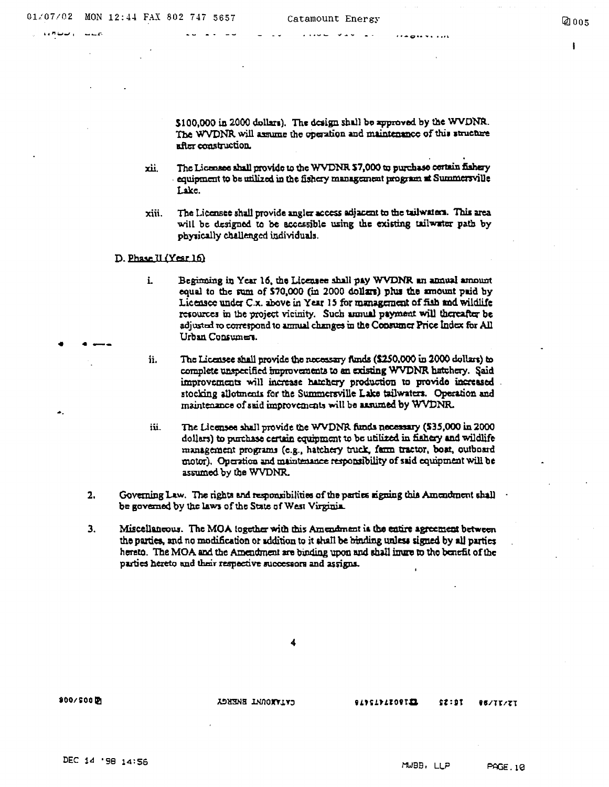••"-...,\_,. *--r·* 

. .. --

 $\cdots$  and  $\cdots$ 

 $\mathbf{r}$ 

 $$100,000$  in 2000 dollars). The design shall bo approved by the WVDNR. The WVDNR will assume the operation and maintenance of this structure  $a$ fter  $constant$ 

- xii. The Licensee shall provide to the WVDNR \$7.000 to purchase certain fishery equipment to be utilized in the fishery management program at Summersville Uke.
- xiii. The Licensee shall provide angler access adjacent to the tailwaters. This area will be designed to be accessible using the existing tailwater path by physically challenged individuals.
- D. Phase II (Year 16)
	- i. Beginning in Year 16, the Licensee shall pay WVDNR an annual amount equal to the sum of \$70,000 (in 2000 dollars) phis the amount paid by Licensee under C.x. above in Year 15 for management of fiah and wildlife. resources in the project vicinity. Such annual payment will thereafter be adjusted to correspond to annual changes in the Consumer Price Index for All Urban Consumers.
	- ii. The Licensee shall provide the necessary funds  $(\$250,000$  in 2000 dollars) to complete unspecified improvements to an existing WVDNR hatchery. Said improvements will increase hatchery production to provide increased stocking allotments for the Summersville Lake tailwaters. Operation and maintenance of said improvements will be assumed by WVDNR.
	- iii. The Licensee shall provide the WVDNR funds necessary (535,000 in 2000) dollars) to purthase certain equipment to be utilized in fiahery and wildlife management programs (e.g., hatchery truck, farm tractor, boat, outboard motor). Operation and maintenance responsibility of said equipment will be assumed by the WVDNR.
- 2. Governing Law. The rights and responsibilities of the parties signing this Amendment shall be governed by the laws of the State of West Virginia.
- 3. Miscellaneous. The MOA together with this Amendment ia the entire agreement between the parties, and no modification or addition to it shall be binding unless signed by all parties hereto. The MOA and the Amendment are binding upon and shall inure to the benefit of the parties hereto and their respective successors and assigns.

4

 $900/500$ 

LYIVNOULL BREECK

#### EIPSIPIIOPIE

$$
\textcolor{blue}{\bullet\textcolor{blue}{\bullet\textcolor{blue}{\bullet}}}
$$

 $52:01$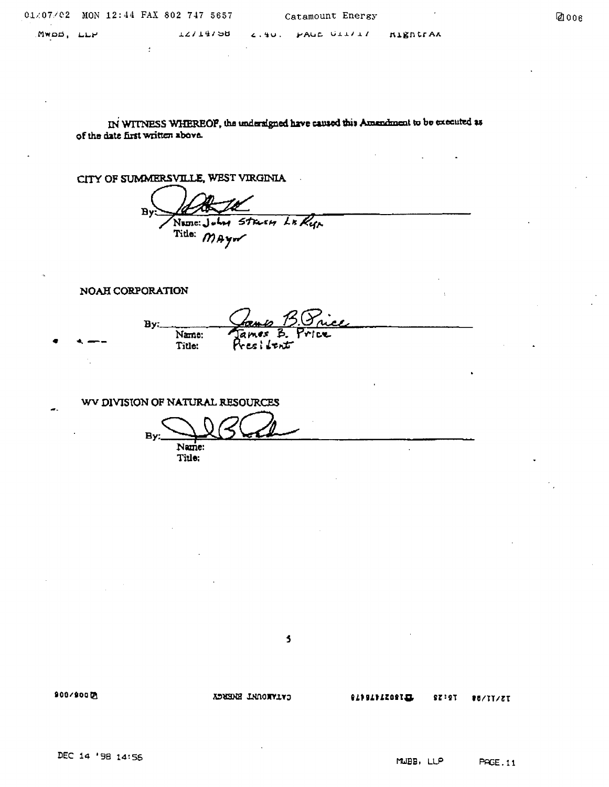$\frac{1}{2}$ 

(4J 006

Mwoo, 1..1..1-'

**TS174198** 

L. SU. PAUL UII/I/

IN WITNESS WHEREOP, the undersigned have caused this Amendment to be executed as of the date *tint* written above.

CITY OF SUMMERSVILLE, WEST VIRGINIA

 $Bv$ Numer July Start LE Ryp Title: MAYN

NOAH CORPORATION

By: 1246 1.0 *Accessome*<br>Name: James B. Price<br>Title: President

WV DIVISION OF NATURAL RESOURCES

 $B_y:$  Name:  $\mathcal{L}$ Title:

 $\overline{\mathbf{5}}$ 

8001800~

CATAMENT ENERGY

**QANALIZATION**  $$7:27$ 

**88/TT/ZT**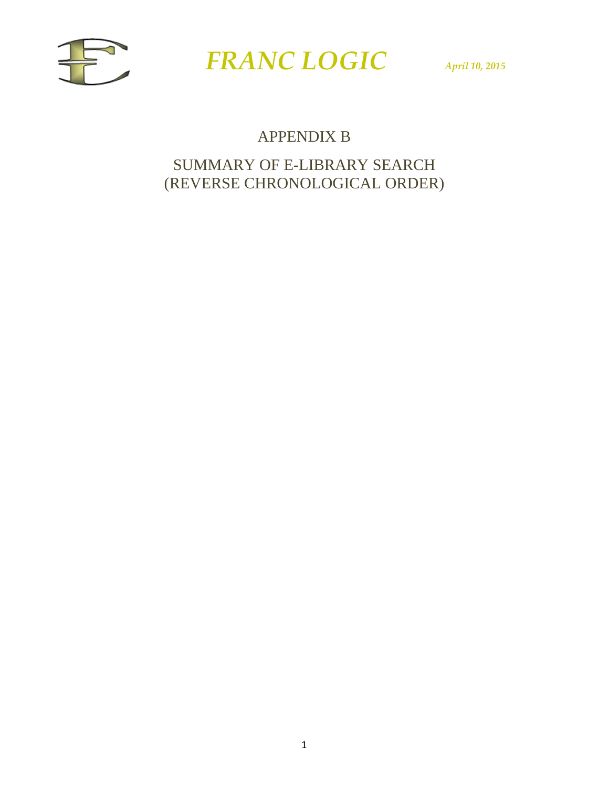



### APPENDIX B

### SUMMARY OF E-LIBRARY SEARCH (REVERSE CHRONOLOGICAL ORDER)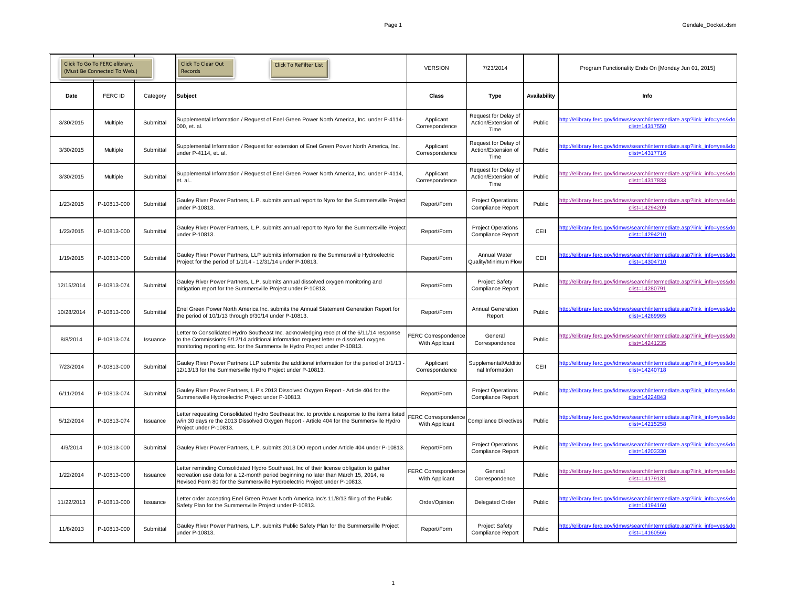|             | Click To Go To FERC elibrary.<br>(Must Be Connected To Web.) |                 | <b>Click To Clear Out</b><br><b>Click To ReFilter List</b><br>Records                                                                                                                                                                                             | <b>VERSION</b>                               | 7/23/2014                                             |                     | Program Functionality Ends On [Monday Jun 01, 2015]                                       |
|-------------|--------------------------------------------------------------|-----------------|-------------------------------------------------------------------------------------------------------------------------------------------------------------------------------------------------------------------------------------------------------------------|----------------------------------------------|-------------------------------------------------------|---------------------|-------------------------------------------------------------------------------------------|
| <b>Date</b> | <b>FERC ID</b>                                               | Category        | Subject                                                                                                                                                                                                                                                           | <b>Class</b>                                 | <b>Type</b>                                           | <b>Availability</b> | <b>Info</b>                                                                               |
| 3/30/2015   | Multiple                                                     | Submittal       | Supplemental Information / Request of Enel Green Power North America, Inc. under P-4114-<br>000, et. al.                                                                                                                                                          | Applicant<br>Correspondence                  | Request for Delay of<br>Action/Extension of<br>Time   | Public              | http://elibrary.ferc.gov/idmws/search/intermediate.asp?link_info=yes&do<br>clist=14317550 |
| 3/30/2015   | Multiple                                                     | Submittal       | Supplemental Information / Request for extension of Enel Green Power North America, Inc.<br>under P-4114, et. al                                                                                                                                                  | Applicant<br>Correspondence                  | Request for Delay of<br>Action/Extension of<br>Time   | Public              | http://elibrary.ferc.gov/idmws/search/intermediate.asp?link_info=yes&do<br>clist=14317716 |
| 3/30/2015   | <b>Multiple</b>                                              | Submittal       | Supplemental Information / Request of Enel Green Power North America, Inc. under P-4114,<br>et. al.                                                                                                                                                               | Applicant<br>Correspondence                  | Request for Delay of<br>Action/Extension of<br>Time   | Public              | http://elibrary.ferc.gov/idmws/search/intermediate.asp?link_info=yes&do<br>clist=14317833 |
| 1/23/2015   | P-10813-000                                                  | Submittal       | Gauley River Power Partners, L.P. submits annual report to Nyro for the Summersville Project<br>under P-10813.                                                                                                                                                    | Report/Form                                  | <b>Project Operations</b><br><b>Compliance Report</b> | Public              | http://elibrary.ferc.gov/idmws/search/intermediate.asp?link_info=yes&do<br>clist=14294209 |
| 1/23/2015   | P-10813-000                                                  | Submittal       | Gauley River Power Partners, L.P. submits annual report to Nyro for the Summersville Project<br>under P-10813.                                                                                                                                                    | Report/Form                                  | <b>Project Operations</b><br><b>Compliance Report</b> | CEII                | http://elibrary.ferc.gov/idmws/search/intermediate.asp?link_info=yes&do<br>clist=14294210 |
| 1/19/2015   | P-10813-000                                                  | Submittal       | Gauley River Power Partners, LLP submits information re the Summersville Hydroelectric<br>Project for the period of 1/1/14 - 12/31/14 under P-10813.                                                                                                              | Report/Form                                  | <b>Annual Water</b><br>Quality/Minimum Flow           | CEII                | http://elibrary.ferc.gov/idmws/search/intermediate.asp?link_info=yes&do<br>clist=14304710 |
| 12/15/2014  | P-10813-074                                                  | Submittal       | Gauley River Power Partners, L.P. submits annual dissolved oxygen monitoring and<br>mitigation report for the Summersville Project under P-10813.                                                                                                                 | Report/Form                                  | <b>Project Safety</b><br><b>Compliance Report</b>     | Public              | http://elibrary.ferc.gov/idmws/search/intermediate.asp?link_info=yes&do<br>clist=14280791 |
| 10/28/2014  | P-10813-000                                                  | Submittal       | Enel Green Power North America Inc. submits the Annual Statement Generation Report for<br>the period of 10/1/13 through 9/30/14 under P-10813.                                                                                                                    | Report/Form                                  | <b>Annual Generation</b><br>Report                    | Public              | http://elibrary.ferc.gov/idmws/search/intermediate.asp?link info=yes&do<br>clist=14269965 |
| 8/8/2014    | P-10813-074                                                  | Issuance        | Letter to Consolidated Hydro Southeast Inc. acknowledging receipt of the 6/11/14 response<br>to the Commission's 5/12/14 additional information request letter re dissolved oxygen<br>monitoring reporting etc. for the Summersville Hydro Project under P-10813. | <b>FERC Correspondence</b><br>With Applicant | General<br>Correspondence                             | Public              | http://elibrary.ferc.gov/idmws/search/intermediate.asp?link_info=yes&do<br>clist=14241235 |
| 7/23/2014   | P-10813-000                                                  | Submittal       | Gauley River Power Partners LLP submits the additional information for the period of 1/1/13 -<br>12/13/13 for the Summersville Hydro Project under P-10813.                                                                                                       | Applicant<br>Correspondence                  | Supplemental/Additio<br>nal Information               | CEII                | http://elibrary.ferc.gov/idmws/search/intermediate.asp?link_info=yes&do<br>clist=14240718 |
| 6/11/2014   | P-10813-074                                                  | Submittal       | Gauley River Power Partners, L.P's 2013 Dissolved Oxygen Report - Article 404 for the<br>Summersville Hydroelectric Project under P-10813.                                                                                                                        | Report/Form                                  | <b>Project Operations</b><br><b>Compliance Report</b> | Public              | http://elibrary.ferc.gov/idmws/search/intermediate.asp?link_info=yes&do<br>clist=14224843 |
| 5/12/2014   | P-10813-074                                                  | Issuance        | Letter requesting Consolidated Hydro Southeast Inc. to provide a response to the items listed<br>w/in 30 days re the 2013 Dissolved Oxygen Report - Article 404 for the Summersville Hydro<br>Project under P-10813.                                              | FERC Correspondence<br>With Applicant        | Compliance Directives                                 | Public              | http://elibrary.ferc.gov/idmws/search/intermediate.asp?link_info=yes&do<br>clist=14215258 |
| 4/9/2014    | P-10813-000                                                  | Submittal       | Gauley River Power Partners, L.P. submits 2013 DO report under Article 404 under P-10813.                                                                                                                                                                         | Report/Form                                  | <b>Project Operations</b><br><b>Compliance Report</b> | Public              | http://elibrary.ferc.gov/idmws/search/intermediate.asp?link_info=yes&do<br>clist=14203330 |
| 1/22/2014   | P-10813-000                                                  | <b>Issuance</b> | Letter reminding Consolidated Hydro Southeast, Inc of their license obligation to gather<br>recreation use data for a 12-month period beginning no later than March 15, 2014, re<br>Revised Form 80 for the Summersville Hydroelectric Project under P-10813.     | <b>FERC Correspondence</b><br>With Applicant | General<br>Correspondence                             | Public              | http://elibrary.ferc.gov/idmws/search/intermediate.asp?link_info=yes&do<br>clist=14179131 |
| 11/22/2013  | P-10813-000                                                  | Issuance        | Letter order accepting Enel Green Power North America Inc's 11/8/13 filing of the Public<br>Safety Plan for the Summersville Project under P-10813.                                                                                                               | Order/Opinion                                | <b>Delegated Order</b>                                | Public              | http://elibrary.ferc.gov/idmws/search/intermediate.asp?link_info=yes&do<br>clist=14194160 |
| 11/8/2013   | P-10813-000                                                  | Submittal       | Gauley River Power Partners, L.P. submits Public Safety Plan for the Summersville Project<br>under P-10813.                                                                                                                                                       | Report/Form                                  | <b>Project Safety</b><br><b>Compliance Report</b>     | Public              | http://elibrary.ferc.gov/idmws/search/intermediate.asp?link_info=yes&do<br>clist=14160566 |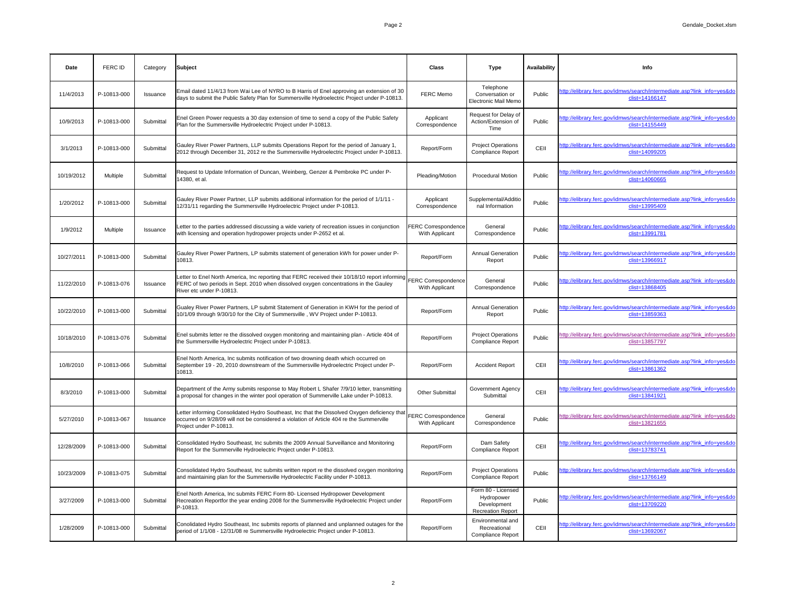| Date       | <b>FERC ID</b> | Category        | Subject                                                                                                                                                                                                                                | <b>Class</b>                                 | <b>Type</b>                                                                 | <b>Availability</b> | <b>Info</b>                                                                               |
|------------|----------------|-----------------|----------------------------------------------------------------------------------------------------------------------------------------------------------------------------------------------------------------------------------------|----------------------------------------------|-----------------------------------------------------------------------------|---------------------|-------------------------------------------------------------------------------------------|
| 11/4/2013  | P-10813-000    | Issuance        | Email dated 11/4/13 from Wai Lee of NYRO to B Harris of Enel approving an extension of 30<br>days to submit the Public Safety Plan for Summersville Hydroelectric Project under P-10813.                                               | <b>FERC Memo</b>                             | Telephone<br>Conversation or<br><b>Electronic Mail Memo</b>                 | Public              | http://elibrary.ferc.gov/idmws/search/intermediate.asp?link_info=yes&do<br>clist=14166147 |
| 10/9/2013  | P-10813-000    | Submittal       | Enel Green Power requests a 30 day extension of time to send a copy of the Public Safety<br>Plan for the Summersville Hydroelectric Project under P-10813.                                                                             | Applicant<br>Correspondence                  | Request for Delay of<br>Action/Extension of<br>Time                         | Public              | http://elibrary.ferc.gov/idmws/search/intermediate.asp?link_info=yes&do<br>clist=14155449 |
| 3/1/2013   | P-10813-000    | Submittal       | Gauley River Power Partners, LLP submits Operations Report for the period of January 1,<br>2012 through December 31, 2012 re the Summersville Hydroelectric Project under P-10813.                                                     | Report/Form                                  | <b>Project Operations</b><br><b>Compliance Report</b>                       | CEII                | http://elibrary.ferc.gov/idmws/search/intermediate.asp?link_info=yes&do<br>clist=14099205 |
| 10/19/2012 | Multiple       | Submittal       | Request to Update Information of Duncan, Weinberg, Genzer & Pembroke PC under P-<br>14380, et al.                                                                                                                                      | Pleading/Motion                              | <b>Procedural Motion</b>                                                    | Public              | http://elibrary.ferc.gov/idmws/search/intermediate.asp?link_info=yes&do<br>clist=14060665 |
| 1/20/2012  | P-10813-000    | Submittal       | Gauley River Power Partner, LLP submits additional information for the period of 1/1/11 -<br>12/31/11 regarding the Summersville Hydroelectric Project under P-10813.                                                                  | Applicant<br>Correspondence                  | Supplemental/Additio<br>nal Information                                     | Public              | http://elibrary.ferc.gov/idmws/search/intermediate.asp?link_info=yes&do<br>clist=13995409 |
| 1/9/2012   | Multiple       | Issuance        | Letter to the parties addressed discussing a wide variety of recreation issues in conjunction<br>with licensing and operation hydropower projects under P-2652 et al.                                                                  | <b>FERC Correspondence</b><br>With Applicant | General<br>Correspondence                                                   | Public              | http://elibrary.ferc.gov/idmws/search/intermediate.asp?link_info=yes&do<br>clist=13991781 |
| 10/27/2011 | P-10813-000    | Submittal       | Gauley River Power Partners, LP submits statement of generation kWh for power under P-<br>10813.                                                                                                                                       | Report/Form                                  | <b>Annual Generation</b><br>Report                                          | Public              | http://elibrary.ferc.gov/idmws/search/intermediate.asp?link_info=yes&do<br>clist=13966917 |
| 11/22/2010 | P-10813-076    | <b>Issuance</b> | Letter to Enel North America, Inc reporting that FERC received their 10/18/10 report informing FERC Correspondence<br>FERC of two periods in Sept. 2010 when dissolved oxygen concentrations in the Gauley<br>River etc under P-10813. | With Applicant                               | General<br>Correspondence                                                   | Public              | http://elibrary.ferc.gov/idmws/search/intermediate.asp?link_info=yes&do<br>clist=13868405 |
| 10/22/2010 | P-10813-000    | Submittal       | Gualey River Power Partners, LP submit Statement of Generation in KWH for the period of<br>10/1/09 through 9/30/10 for the City of Summersville, WV Project under P-10813.                                                             | Report/Form                                  | <b>Annual Generation</b><br>Report                                          | Public              | http://elibrary.ferc.gov/idmws/search/intermediate.asp?link_info=yes&do<br>clist=13859363 |
| 10/18/2010 | P-10813-076    | Submittal       | Enel submits letter re the dissolved oxygen monitoring and maintaining plan - Article 404 of<br>the Summersville Hydroelectric Project under P-10813.                                                                                  | Report/Form                                  | <b>Project Operations</b><br><b>Compliance Report</b>                       | Public              | http://elibrary.ferc.gov/idmws/search/intermediate.asp?link_info=yes&do<br>clist=13857797 |
| 10/8/2010  | P-10813-066    | Submittal       | Enel North America, Inc submits notification of two drowning death which occurred on<br>September 19 - 20, 2010 downstream of the Summersville Hydroelectric Project under P-<br>10813.                                                | Report/Form                                  | <b>Accident Report</b>                                                      | CEII                | http://elibrary.ferc.gov/idmws/search/intermediate.asp?link_info=yes&do<br>clist=13861362 |
| 8/3/2010   | P-10813-000    | Submittal       | Department of the Army submits response to May Robert L Shafer 7/9/10 letter, transmitting<br>a proposal for changes in the winter pool operation of Summerville Lake under P-10813.                                                   | <b>Other Submittal</b>                       | <b>Government Agency</b><br>Submittal                                       | CEII                | http://elibrary.ferc.gov/idmws/search/intermediate.asp?link_info=yes&do<br>clist=13841921 |
| 5/27/2010  | P-10813-067    | Issuance        | Letter informing Consolidated Hydro Southeast, Inc that the Dissolved Oxygen deficiency that<br>occurred on 9/28/09 will not be considered a violation of Article 404 re the Summerville<br>Project under P-10813.                     | <b>FERC Correspondence</b><br>With Applicant | General<br>Correspondence                                                   | Public              | http://elibrary.ferc.gov/idmws/search/intermediate.asp?link_info=yes&do<br>clist=13821655 |
| 12/28/2009 | P-10813-000    | Submittal       | Consolidated Hydro Southeast, Inc submits the 2009 Annual Surveillance and Monitoring<br>Report for the Summerville Hydroelectric Project under P-10813.                                                                               | Report/Form                                  | Dam Safety<br><b>Compliance Report</b>                                      | CEII                | http://elibrary.ferc.gov/idmws/search/intermediate.asp?link_info=yes&do<br>clist=13783741 |
| 10/23/2009 | P-10813-075    | Submittal       | Consolidated Hydro Southeast, Inc submits written report re the dissolved oxygen monitoring<br>and maintaining plan for the Summersville Hydroelectric Facility under P-10813.                                                         | Report/Form                                  | <b>Project Operations</b><br><b>Compliance Report</b>                       | Public              | http://elibrary.ferc.gov/idmws/search/intermediate.asp?link_info=yes&do<br>clist=13766149 |
| 3/27/2009  | P-10813-000    | Submittal       | Enel North America, Inc submits FERC Form 80- Licensed Hydropower Development<br>Recreation Reportfor the year ending 2008 for the Summersville Hydroelectric Project under<br>P-10813.                                                | Report/Form                                  | Form 80 - Licensed<br>Hydropower<br>Development<br><b>Recreation Report</b> | Public              | http://elibrary.ferc.gov/idmws/search/intermediate.asp?link_info=yes&do<br>clist=13709220 |
| 1/28/2009  | P-10813-000    | Submittal       | Conolidated Hydro Southeast, Inc submits reports of planned and unplanned outages for the<br>period of 1/1/08 - 12/31/08 re Summersville Hydroelectric Project under P-10813.                                                          | Report/Form                                  | Environmental and<br>Recreational<br><b>Compliance Report</b>               | CEII                | http://elibrary.ferc.gov/idmws/search/intermediate.asp?link_info=yes&do<br>clist=13692067 |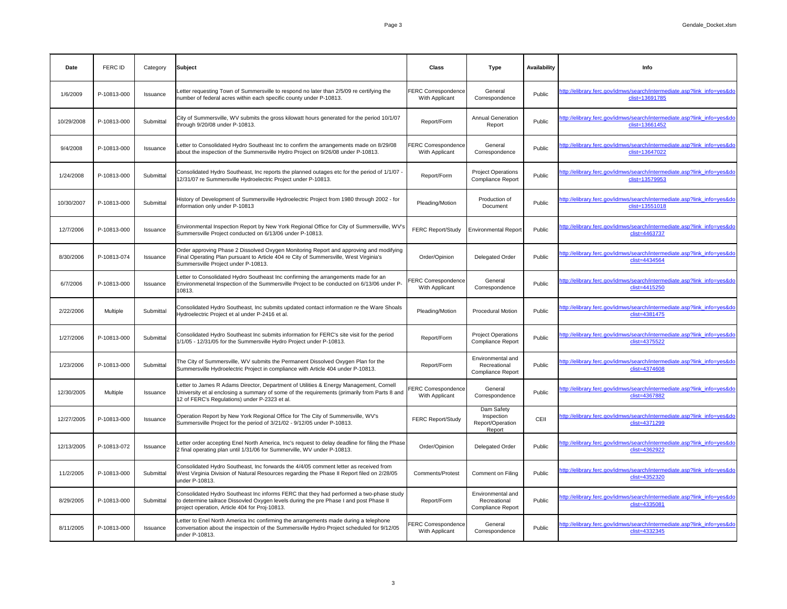| Date       | <b>FERC ID</b> | Category        | Subject                                                                                                                                                                                                                                 | <b>Class</b>                                 | <b>Type</b>                                                   | <b>Availability</b> | <b>Info</b>                                                                               |
|------------|----------------|-----------------|-----------------------------------------------------------------------------------------------------------------------------------------------------------------------------------------------------------------------------------------|----------------------------------------------|---------------------------------------------------------------|---------------------|-------------------------------------------------------------------------------------------|
| 1/6/2009   | P-10813-000    | Issuance        | Letter requesting Town of Summersville to respond no later than 2/5/09 re certifying the<br>number of federal acres within each specific county under P-10813.                                                                          | <b>FERC Correspondence</b><br>With Applicant | General<br>Correspondence                                     | Public              | http://elibrary.ferc.gov/idmws/search/intermediate.asp?link_info=yes&do<br>clist=13691785 |
| 10/29/2008 | P-10813-000    | Submittal       | City of Summersville, WV submits the gross kilowatt hours generated for the period 10/1/07<br>through 9/20/08 under P-10813.                                                                                                            | Report/Form                                  | <b>Annual Generation</b><br>Report                            | Public              | http://elibrary.ferc.gov/idmws/search/intermediate.asp?link_info=yes&do<br>clist=13661452 |
| 9/4/2008   | P-10813-000    | Issuance        | Letter to Consolidated Hydro Southeast Inc to confirm the arrangements made on 8/29/08<br>about the inspection of the Summersville Hydro Project on 9/26/08 under P-10813.                                                              | <b>FERC Correspondence</b><br>With Applicant | General<br>Correspondence                                     | Public              | http://elibrary.ferc.gov/idmws/search/intermediate.asp?link_info=yes&do<br>clist=13647022 |
| 1/24/2008  | P-10813-000    | Submittal       | Consolidated Hydro Southeast, Inc reports the planned outages etc for the period of 1/1/07 -<br>12/31/07 re Summersville Hydroelectric Project under P-10813.                                                                           | Report/Form                                  | <b>Project Operations</b><br><b>Compliance Report</b>         | Public              | http://elibrary.ferc.gov/idmws/search/intermediate.asp?link_info=yes&do<br>clist=13579953 |
| 10/30/2007 | P-10813-000    | Submittal       | History of Development of Summersville Hydroelectric Project from 1980 through 2002 - for<br>information only under P-10813                                                                                                             | Pleading/Motion                              | Production of<br>Document                                     | Public              | http://elibrary.ferc.gov/idmws/search/intermediate.asp?link_info=yes&do<br>clist=13551018 |
| 12/7/2006  | P-10813-000    | Issuance        | Environmental Inspection Report by New York Regional Office for City of Summersville, WV's<br>Summersville Project conducted on 6/13/06 under P-10813.                                                                                  | <b>FERC Report/Study</b>                     | <b>Environmental Report</b>                                   | Public              | http://elibrary.ferc.gov/idmws/search/intermediate.asp?link_info=yes&do<br>clist=4463737  |
| 8/30/2006  | P-10813-074    | Issuance        | Order approving Phase 2 Dissolved Oxygen Monitoring Report and approving and modifying<br>Final Operating Plan pursuant to Article 404 re City of Summersville, West Virginia's<br>Summersville Project under P-10813.                  | Order/Opinion                                | Delegated Order                                               | Public              | http://elibrary.ferc.gov/idmws/search/intermediate.asp?link_info=yes&do<br>clist=4434564  |
| 6/7/2006   | P-10813-000    | <b>Issuance</b> | Letter to Consolidated Hydro Southeast Inc confirming the arrangements made for an<br>Environmenetal Inspection of the Summersville Project to be conducted on 6/13/06 under P-<br>10813.                                               | <b>FERC Correspondence</b><br>With Applicant | General<br>Correspondence                                     | Public              | http://elibrary.ferc.gov/idmws/search/intermediate.asp?link_info=yes&do<br>clist=4415250  |
| 2/22/2006  | Multiple       | Submittal       | Consolidated Hydro Southeast, Inc submits updated contact information re the Ware Shoals<br>Hydroelectric Project et al under P-2416 et al.                                                                                             | Pleading/Motion                              | <b>Procedural Motion</b>                                      | Public              | http://elibrary.ferc.gov/idmws/search/intermediate.asp?link_info=yes&do<br>clist=4381475  |
| 1/27/2006  | P-10813-000    | Submittal       | Consolidated Hydro Southeast Inc submits information for FERC's site visit for the period<br>1/1/05 - 12/31/05 for the Summersville Hydro Project under P-10813.                                                                        | Report/Form                                  | <b>Project Operations</b><br><b>Compliance Report</b>         | Public              | http://elibrary.ferc.gov/idmws/search/intermediate.asp?link_info=yes&do<br>clist=4375522  |
| 1/23/2006  | P-10813-000    | Submittal       | The City of Summersville, WV submits the Permanent Dissolved Oxygen Plan for the<br>Summersville Hydroelectric Project in compliance with Article 404 under P-10813.                                                                    | Report/Form                                  | Environmental and<br>Recreational<br><b>Compliance Report</b> | Public              | http://elibrary.ferc.gov/idmws/search/intermediate.asp?link info=yes&do<br>clist=4374608  |
| 12/30/2005 | Multiple       | Issuance        | Letter to James R Adams Director, Department of Utilities & Energy Management, Cornell<br>University et al enclosing a summary of some of the requirements (primarily from Parts 8 and<br>12 of FERC's Regulations) under P-2323 et al. | <b>FERC Correspondence</b><br>With Applicant | General<br>Correspondence                                     | Public              | http://elibrary.ferc.gov/idmws/search/intermediate.asp?link_info=yes&do<br>clist=4367882  |
| 12/27/2005 | P-10813-000    | Issuance        | Operation Report by New York Regional Office for The City of Summersville, WV's<br>Summersville Project for the period of 3/21/02 - 9/12/05 under P-10813.                                                                              | <b>FERC Report/Study</b>                     | Dam Safety<br>Inspection<br>Report/Operation<br>Report        | CEII                | http://elibrary.ferc.gov/idmws/search/intermediate.asp?link_info=yes&do<br>clist=4371299  |
| 12/13/2005 | P-10813-072    | Issuance        | Letter order accepting Enel North America, Inc's request to delay deadline for filing the Phase<br>2 final operating plan until 1/31/06 for Summerville, WV under P-10813.                                                              | Order/Opinion                                | <b>Delegated Order</b>                                        | Public              | http://elibrary.ferc.gov/idmws/search/intermediate.asp?link_info=yes&do<br>clist=4362922  |
| 11/2/2005  | P-10813-000    | Submittal       | Consolidated Hydro Southeast, Inc forwards the 4/4/05 comment letter as received from<br>West Virginia Division of Natural Resources regarding the Phase II Report filed on 2/28/05<br>under P-10813.                                   | <b>Comments/Protest</b>                      | <b>Comment on Filing</b>                                      | Public              | http://elibrary.ferc.gov/idmws/search/intermediate.asp?link_info=yes&do<br>clist=4352320  |
| 8/29/2005  | P-10813-000    | Submittal       | Consolidated Hydro Southeast Inc informs FERC that they had performed a two-phase study<br>to determine tailrace Dissovled Oxygen levels during the pre Phase I and post Phase II<br>project operation, Article 404 for Proj-10813.     | Report/Form                                  | Environmental and<br>Recreational<br><b>Compliance Report</b> | Public              | http://elibrary.ferc.gov/idmws/search/intermediate.asp?link_info=yes&do<br>clist=4335081  |
| 8/11/2005  | P-10813-000    | Issuance        | Letter to Enel North America Inc confirming the arrangements made during a telephone<br>conversation about the inspectoin of the Summersville Hydro Project scheduled for 9/12/05<br>under P-10813.                                     | <b>FERC Correspondence</b><br>With Applicant | General<br>Correspondence                                     | Public              | http://elibrary.ferc.gov/idmws/search/intermediate.asp?link_info=yes&do<br>clist=4332345  |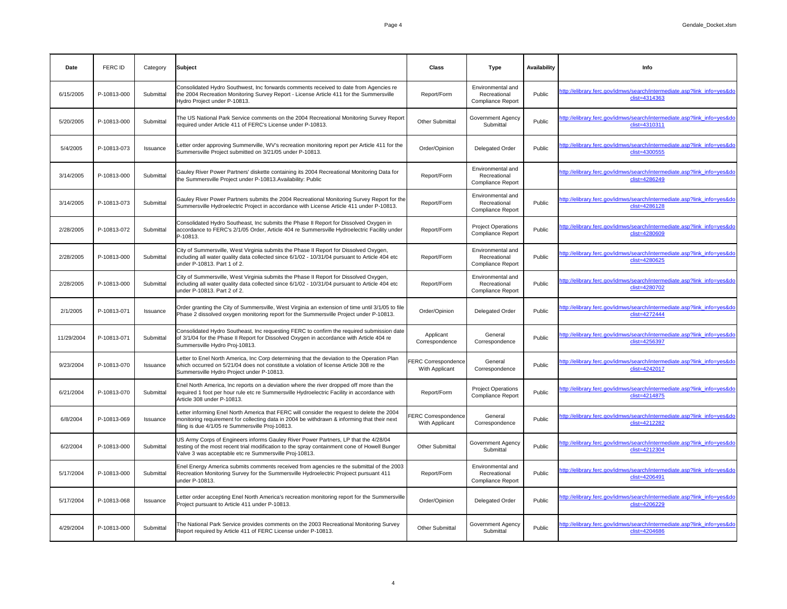| Date       | FERC ID     | Category  | Subject                                                                                                                                                                                                                                       | <b>Class</b>                                 | <b>Type</b>                                                   | <b>Availability</b> | Info                                                                                     |
|------------|-------------|-----------|-----------------------------------------------------------------------------------------------------------------------------------------------------------------------------------------------------------------------------------------------|----------------------------------------------|---------------------------------------------------------------|---------------------|------------------------------------------------------------------------------------------|
| 6/15/2005  | P-10813-000 | Submittal | Consolidated Hydro Southwest, Inc forwards comments received to date from Agencies re<br>the 2004 Recreation Monitoring Survey Report - License Article 411 for the Summersville<br>Hydro Project under P-10813.                              | Report/Form                                  | Environmental and<br>Recreational<br><b>Compliance Report</b> | Public              | http://elibrary.ferc.gov/idmws/search/intermediate.asp?link_info=yes&do<br>clist=4314363 |
| 5/20/2005  | P-10813-000 | Submittal | The US National Park Service comments on the 2004 Recreational Monitoring Survey Report<br>required under Article 411 of FERC's License under P-10813.                                                                                        | <b>Other Submittal</b>                       | <b>Government Agency</b><br>Submittal                         | Public              | http://elibrary.ferc.gov/idmws/search/intermediate.asp?link_info=yes&do<br>clist=4310311 |
| 5/4/2005   | P-10813-073 | Issuance  | Letter order approving Summerville, WV's recreation monitoring report per Article 411 for the<br>Summersville Project submitted on 3/21/05 under P-10813.                                                                                     | Order/Opinion                                | <b>Delegated Order</b>                                        | Public              | http://elibrary.ferc.gov/idmws/search/intermediate.asp?link_info=yes&do<br>clist=4300555 |
| 3/14/2005  | P-10813-000 | Submittal | Gauley River Power Partners' diskette containing its 2004 Recreational Monitoring Data for<br>the Summersville Project under P-10813. Availability: Public                                                                                    | Report/Form                                  | Environmental and<br>Recreational<br><b>Compliance Report</b> |                     | http://elibrary.ferc.gov/idmws/search/intermediate.asp?link_info=yes&do<br>clist=4286249 |
| 3/14/2005  | P-10813-073 | Submittal | Gauley River Power Partners submits the 2004 Recreational Monitoring Survey Report for the<br>Summersville Hydroelectric Project in accordance with License Article 411 under P-10813.                                                        | Report/Form                                  | Environmental and<br>Recreational<br><b>Compliance Report</b> | Public              | http://elibrary.ferc.gov/idmws/search/intermediate.asp?link_info=yes&do<br>clist=4286128 |
| 2/28/2005  | P-10813-072 | Submittal | Consolidated Hydro Southeast, Inc submits the Phase II Report for Dissolved Oxygen in<br>accordance to FERC's 2/1/05 Order, Article 404 re Summersville Hydroelectric Facility under<br>P-10813.                                              | Report/Form                                  | <b>Project Operations</b><br><b>Compliance Report</b>         | Public              | http://elibrary.ferc.gov/idmws/search/intermediate.asp?link_info=yes&do<br>clist=4280609 |
| 2/28/2005  | P-10813-000 | Submittal | City of Summersville, West Virginia submits the Phase II Report for Dissolved Oxygen,<br>including all water quality data collected since 6/1/02 - 10/31/04 pursuant to Article 404 etc<br>under P-10813. Part 1 of 2.                        | Report/Form                                  | Environmental and<br>Recreational<br><b>Compliance Report</b> | Public              | http://elibrary.ferc.gov/idmws/search/intermediate.asp?link_info=yes&do<br>clist=4280625 |
| 2/28/2005  | P-10813-000 | Submittal | City of Summersville, West Virginia submits the Phase II Report for Dissolved Oxygen,<br>including all water quality data collected since 6/1/02 - 10/31/04 pursuant to Article 404 etc<br>under P-10813. Part 2 of 2.                        | Report/Form                                  | Environmental and<br>Recreational<br><b>Compliance Report</b> | Public              | http://elibrary.ferc.gov/idmws/search/intermediate.asp?link_info=yes&do<br>clist=4280702 |
| 2/1/2005   | P-10813-071 | Issuance  | Order granting the City of Summersville, West Virginia an extension of time until 3/1/05 to file<br>Phase 2 dissolved oxygen monitoring report for the Summersville Project under P-10813.                                                    | Order/Opinion                                | <b>Delegated Order</b>                                        | Public              | http://elibrary.ferc.gov/idmws/search/intermediate.asp?link_info=yes&do<br>clist=4272444 |
| 11/29/2004 | P-10813-071 | Submittal | Consolidated Hydro Southeast, Inc requesting FERC to confirm the required submission date<br>of 3/1/04 for the Phase II Report for Dissolved Oxygen in accordance with Article 404 re<br>Summersville Hydro Proj-10813.                       | Applicant<br>Correspondence                  | General<br>Correspondence                                     | Public              | http://elibrary.ferc.gov/idmws/search/intermediate.asp?link_info=yes&do<br>clist=4256397 |
| 9/23/2004  | P-10813-070 | Issuance  | Letter to Enel North America, Inc Corp determining that the deviation to the Operation Plan<br>which occurred on 5/21/04 does not constitute a violation of license Article 308 re the<br>Summersville Hydro Project under P-10813.           | <b>FERC Correspondence</b><br>With Applicant | General<br>Correspondence                                     | Public              | http://elibrary.ferc.gov/idmws/search/intermediate.asp?link info=yes&do<br>clist=4242017 |
| 6/21/2004  | P-10813-070 | Submittal | Enel North America, Inc reports on a deviation where the river dropped off more than the<br>required 1 foot per hour rule etc re Summersville Hydroelectric Facility in accordance with<br>Article 308 under P-10813.                         | Report/Form                                  | <b>Project Operations</b><br><b>Compliance Report</b>         | Public              | http://elibrary.ferc.gov/idmws/search/intermediate.asp?link_info=yes&do<br>clist=4214875 |
| 6/8/2004   | P-10813-069 | Issuance  | Letter informing Enel North America that FERC will consider the request to delete the 2004<br>monitoring requirement for collecting data in 2004 be withdrawn & informing that their next<br>filing is due 4/1/05 re Summersville Proj-10813. | <b>FERC Correspondence</b><br>With Applicant | General<br>Correspondence                                     | Public              | http://elibrary.ferc.gov/idmws/search/intermediate.asp?link_info=yes&do<br>clist=4212282 |
| 6/2/2004   | P-10813-000 | Submittal | US Army Corps of Engineers informs Gauley River Power Partners, LP that the 4/28/04<br>testing of the most recent trial modification to the spray containment cone of Howell Bunger<br>Valve 3 was acceptable etc re Summersville Proj-10813. | <b>Other Submittal</b>                       | <b>Government Agency</b><br>Submittal                         | Public              | http://elibrary.ferc.gov/idmws/search/intermediate.asp?link_info=yes&do<br>clist=4212304 |
| 5/17/2004  | P-10813-000 | Submittal | Enel Energy America submits comments received from agencies re the submittal of the 2003<br>Recreation Monitoring Survey for the Summersville Hydroelectric Projoect pursuant 411<br>under P-10813.                                           | Report/Form                                  | Environmental and<br>Recreational<br><b>Compliance Report</b> | Public              | http://elibrary.ferc.gov/idmws/search/intermediate.asp?link_info=yes&do<br>clist=4206491 |
| 5/17/2004  | P-10813-068 | Issuance  | Letter order accepting Enel North America's recreation monitoring report for the Summersville<br>Project pursuant to Article 411 under P-10813.                                                                                               | Order/Opinion                                | <b>Delegated Order</b>                                        | Public              | http://elibrary.ferc.gov/idmws/search/intermediate.asp?link_info=yes&do<br>clist=4206229 |
| 4/29/2004  | P-10813-000 | Submittal | The National Park Service provides comments on the 2003 Recreational Monitoring Survey<br>Report required by Article 411 of FERC License under P-10813.                                                                                       | <b>Other Submittal</b>                       | <b>Government Agency</b><br>Submittal                         | Public              | http://elibrary.ferc.gov/idmws/search/intermediate.asp?link_info=yes&do<br>clist=4204686 |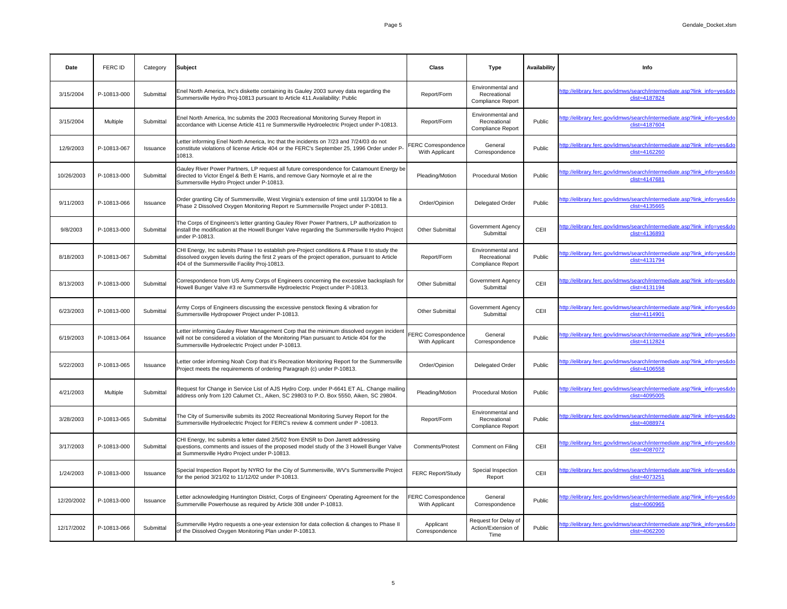| Date       | <b>FERC ID</b>  | Category        | Subject                                                                                                                                                                                                                                       | <b>Class</b>                                 | <b>Type</b>                                                   | <b>Availability</b> | <b>Info</b>                                                                              |
|------------|-----------------|-----------------|-----------------------------------------------------------------------------------------------------------------------------------------------------------------------------------------------------------------------------------------------|----------------------------------------------|---------------------------------------------------------------|---------------------|------------------------------------------------------------------------------------------|
| 3/15/2004  | P-10813-000     | Submittal       | Enel North America, Inc's diskette containing its Gauley 2003 survey data regarding the<br>Summersville Hydro Proj-10813 pursuant to Article 411. Availability: Public                                                                        | Report/Form                                  | Environmental and<br>Recreational<br><b>Compliance Report</b> |                     | http://elibrary.ferc.gov/idmws/search/intermediate.asp?link_info=yes&do<br>clist=4187824 |
| 3/15/2004  | <b>Multiple</b> | Submittal       | Enel North America, Inc submits the 2003 Recreational Monitoring Survey Report in<br>accordance with License Article 411 re Summersville Hydroelectric Project under P-10813.                                                                 | Report/Form                                  | Environmental and<br>Recreational<br><b>Compliance Report</b> | Public              | http://elibrary.ferc.gov/idmws/search/intermediate.asp?link_info=yes&do<br>clist=4187604 |
| 12/9/2003  | P-10813-067     | Issuance        | Letter informing Enel North America, Inc that the incidents on 7/23 and 7/24/03 do not<br>constitute violations of license Article 404 or the FERC's September 25, 1996 Order under P-<br>10813.                                              | <b>FERC Correspondence</b><br>With Applicant | General<br>Correspondence                                     | Public              | http://elibrary.ferc.gov/idmws/search/intermediate.asp?link_info=yes&do<br>clist=4162260 |
| 10/26/2003 | P-10813-000     | Submittal       | Gauley River Power Partners, LP request all future correspondence for Catamount Energy be<br>directed to Victor Engel & Beth E Harris, and remove Gary Normoyle et al re the<br>Summersville Hydro Project under P-10813.                     | Pleading/Motion                              | <b>Procedural Motion</b>                                      | Public              | http://elibrary.ferc.gov/idmws/search/intermediate.asp?link_info=yes&do<br>clist=4147681 |
| 9/11/2003  | P-10813-066     | Issuance        | Order granting City of Summersville, West Virginia's extension of time until 11/30/04 to file a<br>Phase 2 Dissolved Oxygen Monitoring Report re Summersville Project under P-10813.                                                          | Order/Opinion                                | <b>Delegated Order</b>                                        | Public              | http://elibrary.ferc.gov/idmws/search/intermediate.asp?link_info=yes&do<br>clist=4135665 |
| 9/8/2003   | P-10813-000     | Submittal       | The Corps of Engineers's letter granting Gauley River Power Partners, LP authorization to<br>install the modification at the Howell Bunger Valve regarding the Summersville Hydro Project<br>under P-10813.                                   | <b>Other Submittal</b>                       | <b>Government Agency</b><br>Submittal                         | CEII                | http://elibrary.ferc.gov/idmws/search/intermediate.asp?link_info=yes&do<br>clist=4136893 |
| 8/18/2003  | P-10813-067     | Submittal       | CHI Energy, Inc submits Phase I to establish pre-Project conditions & Phase II to study the<br>dissolved oxygen levels during the first 2 years of the project operation, pursuant to Article<br>404 of the Summersville Facility Proj-10813. | Report/Form                                  | Environmental and<br>Recreational<br><b>Compliance Report</b> | Public              | http://elibrary.ferc.gov/idmws/search/intermediate.asp?link_info=yes&do<br>clist=4131794 |
| 8/13/2003  | P-10813-000     | Submittal       | Correspondence from US Army Corps of Engineers concerning the excessive backsplash for<br>Howell Bunger Valve #3 re Summersville Hydroelectric Project under P-10813.                                                                         | <b>Other Submittal</b>                       | <b>Government Agency</b><br>Submittal                         | CEII                | http://elibrary.ferc.gov/idmws/search/intermediate.asp?link_info=yes&do<br>clist=4131194 |
| 6/23/2003  | P-10813-000     | Submittal       | Army Corps of Engineers discussing the excessive penstock flexing & vibration for<br>Summersville Hydropower Project under P-10813.                                                                                                           | <b>Other Submittal</b>                       | <b>Government Agency</b><br>Submittal                         | CEII                | http://elibrary.ferc.gov/idmws/search/intermediate.asp?link_info=yes&do<br>clist=4114901 |
| 6/19/2003  | P-10813-064     | Issuance        | Letter informing Gauley River Management Corp that the minimum dissolved oxygen incident<br>will not be considered a violation of the Monitoring Plan pursuant to Article 404 for the<br>Summersville Hydroelectric Project under P-10813.    | <b>FERC Correspondence</b><br>With Applicant | General<br>Correspondence                                     | Public              | http://elibrary.ferc.gov/idmws/search/intermediate.asp?link_info=yes&do<br>clist=4112824 |
| 5/22/2003  | P-10813-065     | <b>Issuance</b> | Letter order informing Noah Corp that it's Recreation Monitoring Report for the Summersville<br>Project meets the requirements of ordering Paragraph (c) under P-10813.                                                                       | Order/Opinion                                | <b>Delegated Order</b>                                        | Public              | http://elibrary.ferc.gov/idmws/search/intermediate.asp?link_info=yes&do<br>clist=4106558 |
| 4/21/2003  | Multiple        | Submittal       | Request for Change in Service List of AJS Hydro Corp. under P-6641 ET AL. Change mailing<br>address only from 120 Calumet Ct., Aiken, SC 29803 to P.O. Box 5550, Aiken, SC 29804.                                                             | Pleading/Motion                              | <b>Procedural Motion</b>                                      | Public              | http://elibrary.ferc.gov/idmws/search/intermediate.asp?link_info=yes&do<br>clist=4095005 |
| 3/28/2003  | P-10813-065     | Submittal       | The City of Sumersville submits its 2002 Recreational Monitoring Survey Report for the<br>Summersville Hydroelectric Project for FERC's review & comment under P-10813.                                                                       | Report/Form                                  | Environmental and<br>Recreational<br><b>Compliance Report</b> | Public              | http://elibrary.ferc.gov/idmws/search/intermediate.asp?link_info=yes&do<br>clist=4088974 |
| 3/17/2003  | P-10813-000     | Submittal       | CHI Energy, Inc submits a letter dated 2/5/02 from ENSR to Don Jarrett addressing<br>questions, comments and issues of the proposed model study of the 3 Howell Bunger Valve<br>at Summersville Hydro Project under P-10813.                  | <b>Comments/Protest</b>                      | Comment on Filing                                             | CEII                | http://elibrary.ferc.gov/idmws/search/intermediate.asp?link_info=yes&do<br>clist=4087072 |
| 1/24/2003  | P-10813-000     | Issuance        | Special Inspection Report by NYRO for the City of Summersville, WV's Summersville Project<br>for the period 3/21/02 to 11/12/02 under P-10813.                                                                                                | <b>FERC Report/Study</b>                     | Special Inspection<br>Report                                  | CEII                | http://elibrary.ferc.gov/idmws/search/intermediate.asp?link_info=yes&do<br>clist=4073251 |
| 12/20/2002 | P-10813-000     | Issuance        | Letter acknowledging Huntington District, Corps of Engineers' Operating Agreement for the<br>Summerville Powerhouse as required by Article 308 under P-10813.                                                                                 | <b>FERC Correspondence</b><br>With Applicant | General<br>Correspondence                                     | Public              | http://elibrary.ferc.gov/idmws/search/intermediate.asp?link_info=yes&do<br>clist=4060965 |
| 12/17/2002 | P-10813-066     | Submittal       | Summerville Hydro requests a one-year extension for data collection & changes to Phase II<br>of the Dissolved Oxygen Monitoring Plan under P-10813.                                                                                           | Applicant<br>Correspondence                  | Request for Delay of<br>Action/Extension of<br>Time           | Public              | http://elibrary.ferc.gov/idmws/search/intermediate.asp?link_info=yes&do<br>clist=4062200 |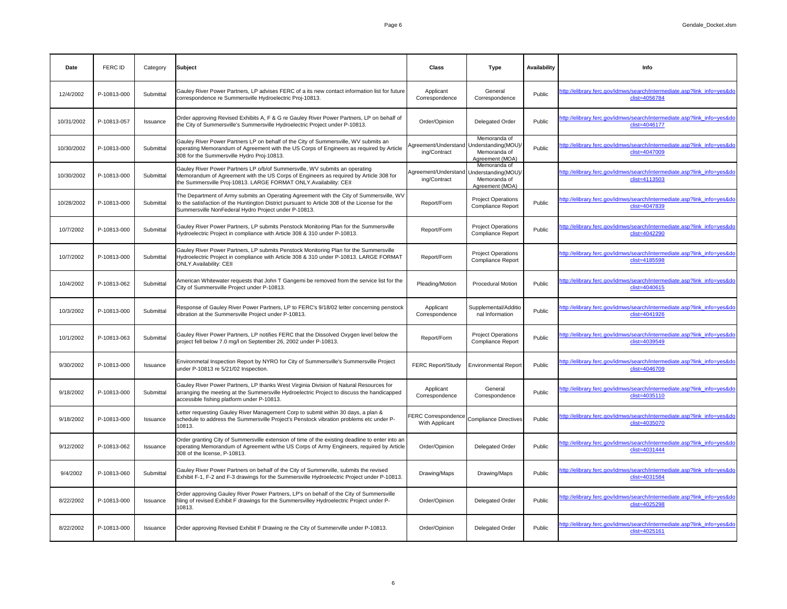| Date       | FERC ID     | Category  | Subject                                                                                                                                                                                                                                          | <b>Class</b>                                               | <b>Type</b>                                                            | <b>Availability</b> | <b>Info</b>                                                                              |
|------------|-------------|-----------|--------------------------------------------------------------------------------------------------------------------------------------------------------------------------------------------------------------------------------------------------|------------------------------------------------------------|------------------------------------------------------------------------|---------------------|------------------------------------------------------------------------------------------|
| 12/4/2002  | P-10813-000 | Submittal | Gauley River Power Partners, LP advises FERC of a its new contact information list for future<br>correspondence re Summersville Hydroelectric Proj-10813.                                                                                        | Applicant<br>Correspondence                                | General<br>Correspondence                                              | Public              | http://elibrary.ferc.gov/idmws/search/intermediate.asp?link_info=yes&do<br>clist=4056784 |
| 10/31/2002 | P-10813-057 | Issuance  | Order approving Revised Exhibits A, F & G re Gauley River Power Partners, LP on behalf of<br>the City of Summersville's Summersville Hydroelectric Project under P-10813.                                                                        | Order/Opinion                                              | <b>Delegated Order</b>                                                 | Public              | http://elibrary.ferc.gov/idmws/search/intermediate.asp?link_info=yes&do<br>clist=4046177 |
| 10/30/2002 | P-10813-000 | Submittal | Gauley River Power Partners LP on behalf of the City of Summersville, WV submits an<br>operating Memorandum of Agreement with the US Corps of Engineers as required by Article<br>308 for the Summersville Hydro Proj-10813.                     | Agreement/Understand   Understanding(MOU)/<br>ing/Contract | Memoranda of<br>Memoranda of<br>Agreement (MOA)                        | Public              | http://elibrary.ferc.gov/idmws/search/intermediate.asp?link info=yes&do<br>clist=4047009 |
| 10/30/2002 | P-10813-000 | Submittal | Gauley River Power Partners LP o/b/of Summersville, WV submits an operating<br>Memorandum of Agreement with the US Corps of Engineers as required by Article 308 for<br>the Summersville Proj-10813. LARGE FORMAT ONLY.Availability: CEII        | Agreement/Understand<br>ing/Contract                       | Memoranda of<br>Understanding(MOU)/<br>Memoranda of<br>Agreement (MOA) |                     | http://elibrary.ferc.gov/idmws/search/intermediate.asp?link_info=yes&do<br>clist=4113503 |
| 10/28/2002 | P-10813-000 | Submittal | The Department of Army submits an Operating Agreement with the City of Summersville, WV<br>to the satisfaction of the Huntington District pursuant to Article 308 of the License for the<br>Summersville NonFederal Hydro Project under P-10813. | Report/Form                                                | <b>Project Operations</b><br><b>Compliance Report</b>                  | Public              | http://elibrary.ferc.gov/idmws/search/intermediate.asp?link_info=yes&do<br>clist=4047839 |
| 10/7/2002  | P-10813-000 | Submittal | Gauley River Power Partners, LP submits Penstock Monitoring Plan for the Summersville<br>Hydroelectric Project in compliance with Article 308 & 310 under P-10813.                                                                               | Report/Form                                                | <b>Project Operations</b><br><b>Compliance Report</b>                  | Public              | http://elibrary.ferc.gov/idmws/search/intermediate.asp?link_info=yes&do<br>clist=4042290 |
| 10/7/2002  | P-10813-000 | Submittal | Gauley River Power Partners, LP submits Penstock Monitoring Plan for the Summersville<br>Hydroelectric Project in compliance with Article 308 & 310 under P-10813. LARGE FORMAT<br><b>ONLY.Availability: CEII</b>                                | Report/Form                                                | <b>Project Operations</b><br><b>Compliance Report</b>                  |                     | http://elibrary.ferc.gov/idmws/search/intermediate.asp?link info=yes&do<br>clist=4185598 |
| 10/4/2002  | P-10813-062 | Submittal | American Whitewater requests that John T Gangemi be removed from the service list for the<br>City of Summersville Project under P-10813.                                                                                                         | Pleading/Motion                                            | <b>Procedural Motion</b>                                               | Public              | http://elibrary.ferc.gov/idmws/search/intermediate.asp?link_info=yes&do<br>clist=4040615 |
| 10/3/2002  | P-10813-000 | Submittal | Response of Gauley River Power Partners, LP to FERC's 9/18/02 letter concerning penstock<br>vibration at the Summersville Project under P-10813.                                                                                                 | Applicant<br>Correspondence                                | Supplemental/Additio<br>nal Information                                | Public              | http://elibrary.ferc.gov/idmws/search/intermediate.asp?link_info=yes&do<br>clist=4041926 |
| 10/1/2002  | P-10813-063 | Submittal | Gauley River Power Partners, LP notifies FERC that the Dissolved Oxygen level below the<br>project fell below 7.0 mg/l on September 26, 2002 under P-10813.                                                                                      | Report/Form                                                | <b>Project Operations</b><br><b>Compliance Report</b>                  | Public              | http://elibrary.ferc.gov/idmws/search/intermediate.asp?link_info=yes&do<br>clist=4039549 |
| 9/30/2002  | P-10813-000 | Issuance  | Environmetal Inspection Report by NYRO for City of Summersville's Summersville Project<br>under P-10813 re 5/21/02 Inspection.                                                                                                                   | <b>FERC Report/Study</b>                                   | <b>Environmental Report</b>                                            | Public              | http://elibrary.ferc.gov/idmws/search/intermediate.asp?link info=yes&do<br>clist=4046709 |
| 9/18/2002  | P-10813-000 | Submittal | Gauley River Power Partners, LP thanks West Virginia Division of Natural Resources for<br>arranging the meeting at the Summersville Hydroelectric Project to discuss the handicapped<br>accessible fishing platform under P-10813.               | Applicant<br>Correspondence                                | General<br>Correspondence                                              | Public              | http://elibrary.ferc.gov/idmws/search/intermediate.asp?link_info=yes&do<br>clist=4035110 |
| 9/18/2002  | P-10813-000 | Issuance  | Letter requesting Gauley River Management Corp to submit within 30 days, a plan &<br>schedule to address the Summersville Project's Penstock vibration problems etc under P-<br>10813.                                                           | FERC Correspondence<br>With Applicant                      | Compliance Directives                                                  | Public              | http://elibrary.ferc.gov/idmws/search/intermediate.asp?link_info=yes&do<br>clist=4035070 |
| 9/12/2002  | P-10813-062 | Issuance  | Order granting City of Summersville extension of time of the existing deadline to enter into an<br>operating Memorandum of Agreement w/the US Corps of Army Engineers, required by Article<br>308 of the license, P-10813.                       | Order/Opinion                                              | <b>Delegated Order</b>                                                 | Public              | http://elibrary.ferc.gov/idmws/search/intermediate.asp?link_info=yes&do<br>clist=4031444 |
| 9/4/2002   | P-10813-060 | Submittal | Gauley River Power Partners on behalf of the City of Summerville, submits the revised<br>Exhibit F-1, F-2 and F-3 drawings for the Summersville Hydroelectric Project under P-10813.                                                             | Drawing/Maps                                               | Drawing/Maps                                                           | Public              | http://elibrary.ferc.gov/idmws/search/intermediate.asp?link_info=yes&do<br>clist=4031584 |
| 8/22/2002  | P-10813-000 | Issuance  | Order approving Gauley River Power Partners, LP's on behalf of the City of Summersville<br>filing of revised Exhibit F drawings for the Summersvilley Hydroelectric Project under P-<br>10813.                                                   | Order/Opinion                                              | <b>Delegated Order</b>                                                 | Public              | http://elibrary.ferc.gov/idmws/search/intermediate.asp?link_info=yes&do<br>clist=4025298 |
| 8/22/2002  | P-10813-000 | Issuance  | Order approving Revised Exhibit F Drawing re the City of Summerville under P-10813.                                                                                                                                                              | Order/Opinion                                              | <b>Delegated Order</b>                                                 | Public              | http://elibrary.ferc.gov/idmws/search/intermediate.asp?link_info=yes&do<br>clist=4025161 |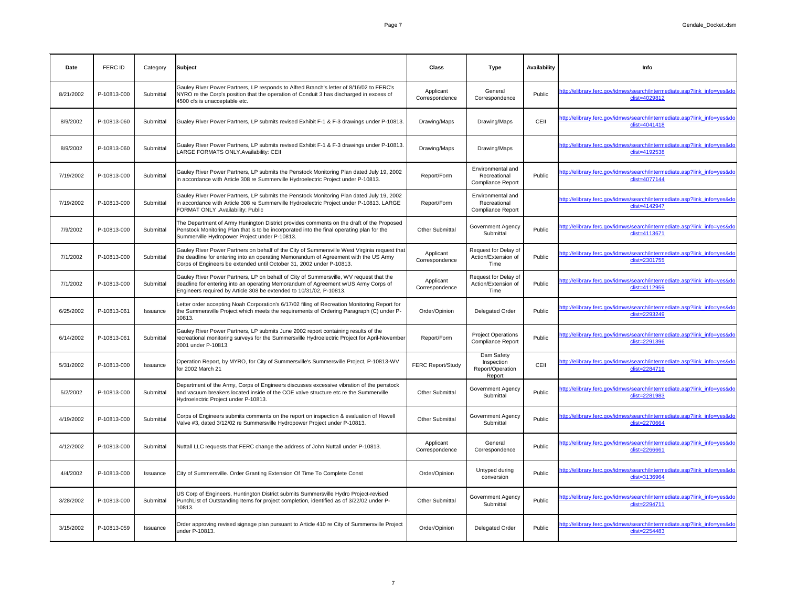| <b>Date</b> | FERC ID     | Category  | Subject                                                                                                                                                                                                                                                      | <b>Class</b>                | <b>Type</b>                                                   | <b>Availability</b> | Info                                                                                     |
|-------------|-------------|-----------|--------------------------------------------------------------------------------------------------------------------------------------------------------------------------------------------------------------------------------------------------------------|-----------------------------|---------------------------------------------------------------|---------------------|------------------------------------------------------------------------------------------|
| 8/21/2002   | P-10813-000 | Submittal | Gauley River Power Partners, LP responds to Alfred Branch's letter of 8/16/02 to FERC's<br>NYRO re the Corp's position that the operation of Conduit 3 has discharged in excess of<br>4500 cfs is unacceptable etc.                                          | Applicant<br>Correspondence | General<br>Correspondence                                     | Public              | http://elibrary.ferc.gov/idmws/search/intermediate.asp?link_info=yes&do<br>clist=4029812 |
| 8/9/2002    | P-10813-060 | Submittal | Gualey River Power Partners, LP submits revised Exhibit F-1 & F-3 drawings under P-10813.                                                                                                                                                                    | Drawing/Maps                | Drawing/Maps                                                  | CEII                | http://elibrary.ferc.gov/idmws/search/intermediate.asp?link_info=yes&do<br>clist=4041418 |
| 8/9/2002    | P-10813-060 | Submittal | Gualey River Power Partners, LP submits revised Exhibit F-1 & F-3 drawings under P-10813.<br>LARGE FORMATS ONLY. Availability: CEII                                                                                                                          | Drawing/Maps                | Drawing/Maps                                                  |                     | http://elibrary.ferc.gov/idmws/search/intermediate.asp?link_info=yes&do<br>clist=4192538 |
| 7/19/2002   | P-10813-000 | Submittal | Gauley River Power Partners, LP submits the Penstock Monitoring Plan dated July 19, 2002<br>in accordance with Article 308 re Summerville Hydroelectric Project under P-10813.                                                                               | Report/Form                 | Environmental and<br>Recreational<br><b>Compliance Report</b> | Public              | http://elibrary.ferc.gov/idmws/search/intermediate.asp?link_info=yes&do<br>clist=4077144 |
| 7/19/2002   | P-10813-000 | Submittal | Gauley River Power Partners, LP submits the Penstock Monitoring Plan dated July 19, 2002<br>in accordance with Article 308 re Summerville Hydroelectric Project under P-10813. LARGE<br>FORMAT ONLY .Availability: Public                                    | Report/Form                 | Environmental and<br>Recreational<br><b>Compliance Report</b> |                     | http://elibrary.ferc.gov/idmws/search/intermediate.asp?link_info=yes&do<br>clist=4142947 |
| 7/9/2002    | P-10813-000 | Submittal | The Department of Army Hunington District provides comments on the draft of the Proposed<br>Penstock Monitoring Plan that is to be incorporated into the final operating plan for the<br>Summerville Hydropower Project under P-10813.                       | <b>Other Submittal</b>      | <b>Government Agency</b><br>Submittal                         | Public              | http://elibrary.ferc.gov/idmws/search/intermediate.asp?link_info=yes&do<br>clist=4113671 |
| 7/1/2002    | P-10813-000 | Submittal | Gauley River Power Partners on behalf of the City of Summersville West Virginia request that<br>the deadline for entering into an operating Memorandum of Agreement with the US Army<br>Corps of Engineers be extended until October 31, 2002 under P-10813. | Applicant<br>Correspondence | Request for Delay of<br>Action/Extension of<br>Time           | Public              | http://elibrary.ferc.gov/idmws/search/intermediate.asp?link_info=yes&do<br>clist=2301755 |
| 7/1/2002    | P-10813-000 | Submittal | Gauley River Power Partners, LP on behalf of City of Summersville, WV request that the<br>deadline for entering into an operating Memorandum of Agreement w/US Army Corps of<br>Engineers required by Article 308 be extended to 10/31/02, P-10813.          | Applicant<br>Correspondence | Request for Delay of<br>Action/Extension of<br>Time           | Public              | http://elibrary.ferc.gov/idmws/search/intermediate.asp?link_info=yes&do<br>clist=4112959 |
| 6/25/2002   | P-10813-061 | Issuance  | Letter order accepting Noah Corporation's 6/17/02 filing of Recreation Monitoring Report for<br>the Summersville Project which meets the requirements of Ordering Paragraph (C) under P-<br>10813.                                                           | Order/Opinion               | <b>Delegated Order</b>                                        | Public              | http://elibrary.ferc.gov/idmws/search/intermediate.asp?link_info=yes&do<br>clist=2293249 |
| 6/14/2002   | P-10813-061 | Submittal | Gauley River Power Partners, LP submits June 2002 report containing results of the<br>recreational monitoring surveys for the Summersville Hydroelectric Project for April-November<br>2001 under P-10813.                                                   | Report/Form                 | <b>Project Operations</b><br><b>Compliance Report</b>         | Public              | http://elibrary.ferc.gov/idmws/search/intermediate.asp?link_info=yes&do<br>clist=2291396 |
| 5/31/2002   | P-10813-000 | Issuance  | Operation Report, by MYRO, for City of Summersville's Summersville Project, P-10813-WV<br>for 2002 March 21                                                                                                                                                  | <b>FERC Report/Study</b>    | Dam Safety<br>Inspection<br>Report/Operation<br>Report        | CEII                | http://elibrary.ferc.gov/idmws/search/intermediate.asp?link_info=yes&do<br>clist=2284719 |
| 5/2/2002    | P-10813-000 | Submittal | Department of the Army, Corps of Engineers discusses excessive vibration of the penstock<br>and vacuum breakers located inside of the COE valve structure etc re the Summerville<br>Hydroelectric Project under P-10813.                                     | <b>Other Submittal</b>      | <b>Government Agency</b><br>Submittal                         | Public              | http://elibrary.ferc.gov/idmws/search/intermediate.asp?link_info=yes&do<br>clist=2281983 |
| 4/19/2002   | P-10813-000 | Submittal | Corps of Engineers submits comments on the report on inspection & evaluation of Howell<br>Valve #3, dated 3/12/02 re Summersville Hydropower Project under P-10813.                                                                                          | Other Submittal             | <b>Government Agency</b><br>Submittal                         | Public              | http://elibrary.ferc.gov/idmws/search/intermediate.asp?link_info=yes&do<br>clist=2270664 |
| 4/12/2002   | P-10813-000 | Submittal | Nuttall LLC requests that FERC change the address of John Nuttall under P-10813.                                                                                                                                                                             | Applicant<br>Correspondence | General<br>Correspondence                                     | Public              | http://elibrary.ferc.gov/idmws/search/intermediate.asp?link_info=yes&do<br>clist=2266661 |
| 4/4/2002    | P-10813-000 | Issuance  | City of Summersville. Order Granting Extension Of Time To Complete Const                                                                                                                                                                                     | Order/Opinion               | Untyped during<br>conversion                                  | Public              | http://elibrary.ferc.gov/idmws/search/intermediate.asp?link_info=yes&do<br>clist=3136964 |
| 3/28/2002   | P-10813-000 | Submittal | US Corp of Engineers, Huntington District submits Summersville Hydro Project-revised<br>PunchList of Outstanding Items for project completion, identified as of 3/22/02 under P-<br>10813.                                                                   | <b>Other Submittal</b>      | <b>Government Agency</b><br>Submittal                         | Public              | http://elibrary.ferc.gov/idmws/search/intermediate.asp?link_info=yes&do<br>clist=2294711 |
| 3/15/2002   | P-10813-059 | Issuance  | Order approving revised signage plan pursuant to Article 410 re City of Summersville Project<br>under P-10813.                                                                                                                                               | Order/Opinion               | <b>Delegated Order</b>                                        | Public              | http://elibrary.ferc.gov/idmws/search/intermediate.asp?link_info=yes&do<br>clist=2254483 |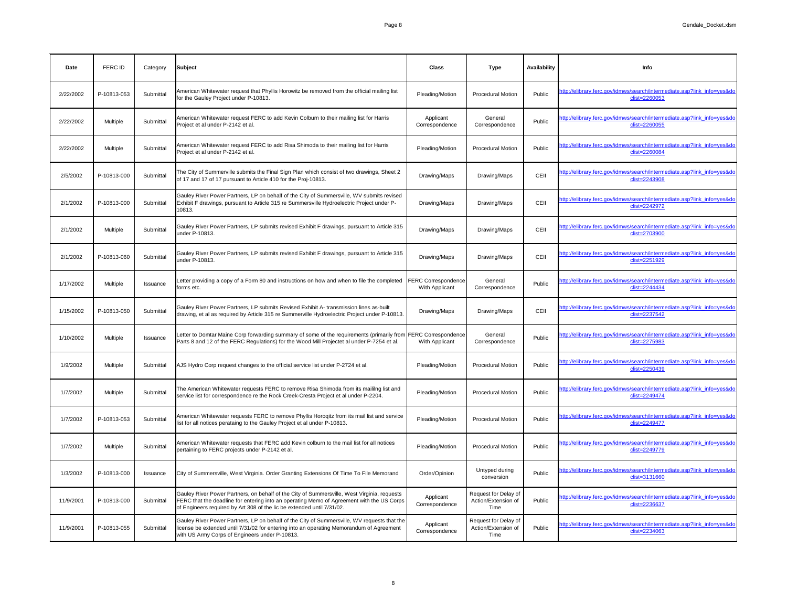| Date      | <b>FERC ID</b>  | Category  | Subject                                                                                                                                                                                                                                                            | <b>Class</b>                                 | <b>Type</b>                                         | <b>Availability</b> | <b>Info</b>                                                                              |
|-----------|-----------------|-----------|--------------------------------------------------------------------------------------------------------------------------------------------------------------------------------------------------------------------------------------------------------------------|----------------------------------------------|-----------------------------------------------------|---------------------|------------------------------------------------------------------------------------------|
| 2/22/2002 | P-10813-053     | Submittal | American Whitewater request that Phyllis Horowitz be removed from the official mailing list<br>for the Gauley Project under P-10813.                                                                                                                               | Pleading/Motion                              | <b>Procedural Motion</b>                            | Public              | http://elibrary.ferc.gov/idmws/search/intermediate.asp?link_info=yes&do<br>clist=2260053 |
| 2/22/2002 | Multiple        | Submittal | American Whitewater request FERC to add Kevin Colburn to their mailing list for Harris<br>Project et al under P-2142 et al.                                                                                                                                        | Applicant<br>Correspondence                  | General<br>Correspondence                           | Public              | http://elibrary.ferc.gov/idmws/search/intermediate.asp?link_info=yes&do<br>clist=2260055 |
| 2/22/2002 | Multiple        | Submittal | American Whitewater request FERC to add Risa Shimoda to their mailing list for Harris<br>Project et al under P-2142 et al.                                                                                                                                         | Pleading/Motion                              | <b>Procedural Motion</b>                            | Public              | http://elibrary.ferc.gov/idmws/search/intermediate.asp?link_info=yes&do<br>clist=2260084 |
| 2/5/2002  | P-10813-000     | Submittal | The City of Summerville submits the Final Sign Plan which consist of two drawings, Sheet 2<br>of 17 and 17 of 17 pursuant to Article 410 for the Proj-10813.                                                                                                       | Drawing/Maps                                 | Drawing/Maps                                        | CEII                | http://elibrary.ferc.gov/idmws/search/intermediate.asp?link_info=yes&do<br>clist=2243908 |
| 2/1/2002  | P-10813-000     | Submittal | Gauley River Power Partners, LP on behalf of the City of Summersville, WV submits revised<br>Exhibit F drawings, pursuant to Article 315 re Summersville Hydroelectric Project under P-<br>10813.                                                                  | Drawing/Maps                                 | Drawing/Maps                                        | CEII                | http://elibrary.ferc.gov/idmws/search/intermediate.asp?link_info=yes&do<br>clist=2242972 |
| 2/1/2002  | Multiple        | Submittal | Gauley River Power Partners, LP submits revised Exhibit F drawings, pursuant to Article 315<br>under P-10813.                                                                                                                                                      | Drawing/Maps                                 | Drawing/Maps                                        | CEII                | http://elibrary.ferc.gov/idmws/search/intermediate.asp?link_info=yes&do<br>clist=2703900 |
| 2/1/2002  | P-10813-060     | Submittal | Gauley River Power Partners, LP submits revised Exhibit F drawings, pursuant to Article 315<br>under P-10813.                                                                                                                                                      | Drawing/Maps                                 | Drawing/Maps                                        | CEII                | http://elibrary.ferc.gov/idmws/search/intermediate.asp?link info=yes&do<br>clist=2251929 |
| 1/17/2002 | Multiple        | Issuance  | Letter providing a copy of a Form 80 and instructions on how and when to file the completed<br>forms etc.                                                                                                                                                          | <b>FERC Correspondence</b><br>With Applicant | General<br>Correspondence                           | Public              | http://elibrary.ferc.gov/idmws/search/intermediate.asp?link_info=yes&do<br>clist=2244434 |
| 1/15/2002 | P-10813-050     | Submittal | Gauley River Power Partners, LP submits Revised Exhibit A- transmission lines as-built<br>drawing, et al as required by Article 315 re Summerville Hydroelectric Project under P-10813.                                                                            | Drawing/Maps                                 | Drawing/Maps                                        | CEII                | http://elibrary.ferc.gov/idmws/search/intermediate.asp?link_info=yes&do<br>clist=2237542 |
| 1/10/2002 | Multiple        | Issuance  | Letter to Domtar Maine Corp forwarding summary of some of the requirements (primarily from FERC Correspondence<br>Parts 8 and 12 of the FERC Regulations) for the Wood Mill Projectet al under P-7254 et al.                                                       | With Applicant                               | General<br>Correspondence                           | Public              | http://elibrary.ferc.gov/idmws/search/intermediate.asp?link_info=yes&do<br>clist=2275983 |
| 1/9/2002  | Multiple        | Submittal | AJS Hydro Corp request changes to the official service list under P-2724 et al.                                                                                                                                                                                    | Pleading/Motion                              | <b>Procedural Motion</b>                            | Public              | http://elibrary.ferc.gov/idmws/search/intermediate.asp?link_info=yes&do<br>clist=2250439 |
| 1/7/2002  | Multiple        | Submittal | The American Whitewater requests FERC to remove Risa Shimoda from its maililng list and<br>service list for correspondence re the Rock Creek-Cresta Project et al under P-2204.                                                                                    | Pleading/Motion                              | <b>Procedural Motion</b>                            | Public              | http://elibrary.ferc.gov/idmws/search/intermediate.asp?link_info=yes&do<br>clist=2249474 |
| 1/7/2002  | P-10813-053     | Submittal | American Whitewater requests FERC to remove Phyllis Horogitz from its mail list and service<br>list for all notices perataing to the Gauley Project et al under P-10813.                                                                                           | Pleading/Motion                              | <b>Procedural Motion</b>                            | Public              | http://elibrary.ferc.gov/idmws/search/intermediate.asp?link_info=yes&do<br>clist=2249477 |
| 1/7/2002  | <b>Multiple</b> | Submittal | American Whitewater requests that FERC add Kevin colburn to the mail list for all notices<br>pertaining to FERC projects under P-2142 et al.                                                                                                                       | Pleading/Motion                              | <b>Procedural Motion</b>                            | Public              | http://elibrary.ferc.gov/idmws/search/intermediate.asp?link_info=yes&do<br>clist=2249779 |
| 1/3/2002  | P-10813-000     | Issuance  | City of Summersville, West Virginia. Order Granting Extensions Of Time To File Memorand                                                                                                                                                                            | Order/Opinion                                | Untyped during<br>conversion                        | Public              | http://elibrary.ferc.gov/idmws/search/intermediate.asp?link_info=yes&do<br>clist=3131660 |
| 11/9/2001 | P-10813-000     | Submittal | Gauley River Power Partners, on behalf of the City of Summersville, West Virginia, requests<br>FERC that the deadline for entering into an operating Memo of Agreement with the US Corps<br>of Engineers required by Art 308 of the lic be extended until 7/31/02. | Applicant<br>Correspondence                  | Request for Delay of<br>Action/Extension of<br>Time | Public              | http://elibrary.ferc.gov/idmws/search/intermediate.asp?link_info=yes&do<br>clist=2236637 |
| 11/9/2001 | P-10813-055     | Submittal | Gauley River Power Partners, LP on behalf of the City of Summersville, WV requests that the<br>license be extended until 7/31/02 for entering into an operating Memorandum of Agreement<br>with US Army Corps of Engineers under P-10813.                          | Applicant<br>Correspondence                  | Request for Delay of<br>Action/Extension of<br>Time | Public              | http://elibrary.ferc.gov/idmws/search/intermediate.asp?link_info=yes&do<br>clist=2234063 |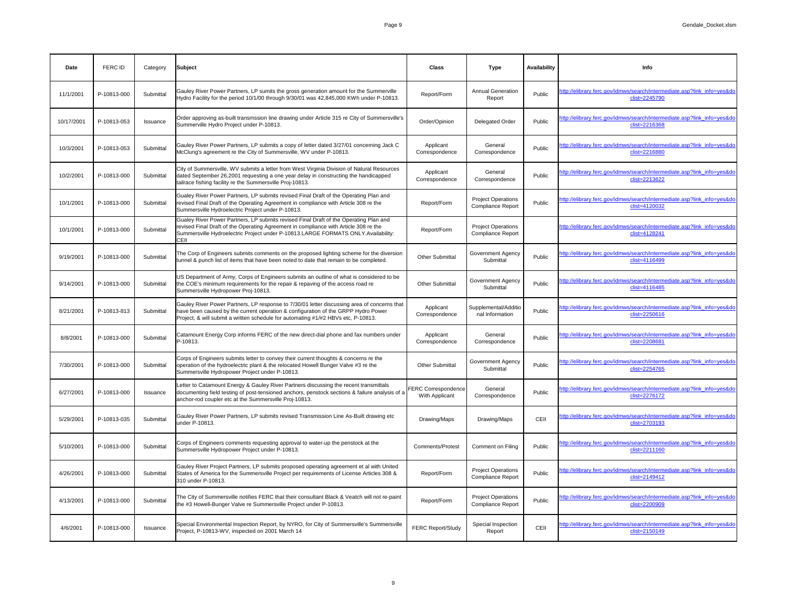| <b>Date</b> | FERC ID     | Category  | Subject                                                                                                                                                                                                                                                                           | <b>Class</b>                                 | <b>Type</b>                                           | <b>Availability</b> | <b>Info</b>                                                                              |
|-------------|-------------|-----------|-----------------------------------------------------------------------------------------------------------------------------------------------------------------------------------------------------------------------------------------------------------------------------------|----------------------------------------------|-------------------------------------------------------|---------------------|------------------------------------------------------------------------------------------|
| 11/1/2001   | P-10813-000 | Submittal | Gauley River Power Partners, LP sumits the gross generation amount for the Summerville<br>Hydro Facility for the period 10/1/00 through 9/30/01 was 42,845,000 KWh under P-10813.                                                                                                 | Report/Form                                  | <b>Annual Generation</b><br>Report                    | Public              | http://elibrary.ferc.gov/idmws/search/intermediate.asp?link_info=yes&do<br>clist=2245790 |
| 10/17/2001  | P-10813-053 | Issuance  | Order approving as-built transmssion line drawing under Article 315 re City of Summersville's<br>Summerville Hydro Project under P-10813.                                                                                                                                         | Order/Opinion                                | <b>Delegated Order</b>                                | Public              | http://elibrary.ferc.gov/idmws/search/intermediate.asp?link_info=yes&do<br>clist=2216368 |
| 10/3/2001   | P-10813-053 | Submittal | Gauley River Power Partners, LP submits a copy of letter dated 3/27/01 concerning Jack C<br>McClung's agreement re the City of Summersville, WV under P-10813.                                                                                                                    | Applicant<br>Correspondence                  | General<br>Correspondence                             | Public              | http://elibrary.ferc.gov/idmws/search/intermediate.asp?link_info=yes&do<br>clist=2216880 |
| 10/2/2001   | P-10813-000 | Submittal | City of Summersville, WV submits a letter from West Virginia Division of Natural Resources<br>dated September 26,2001 requesting a one year delay in constructing the handicapped<br>tailrace fishing facility re the Summersville Proj-10813.                                    | Applicant<br>Correspondence                  | General<br>Correspondence                             | Public              | http://elibrary.ferc.gov/idmws/search/intermediate.asp?link_info=yes&do<br>clist=2213622 |
| 10/1/2001   | P-10813-000 | Submittal | Gualey River Power Partners, LP submits revised Final Draft of the Operating Plan and<br>revised Final Draft of the Operating Agreement in compliance with Article 308 re the<br>Summersville Hydroelectric Project under P-10813.                                                | Report/Form                                  | <b>Project Operations</b><br><b>Compliance Report</b> | Public              | http://elibrary.ferc.gov/idmws/search/intermediate.asp?link_info=yes&do<br>clist=4120032 |
| 10/1/2001   | P-10813-000 | Submittal | Gualey River Power Partners, LP submits revised Final Draft of the Operating Plan and<br>revised Final Draft of the Operating Agreement in compliance with Article 308 re the<br>Summersville Hydroelectric Project under P-10813.LARGE FORMATS ONLY.Availability:<br><b>CEIL</b> | Report/Form                                  | <b>Project Operations</b><br><b>Compliance Report</b> |                     | http://elibrary.ferc.gov/idmws/search/intermediate.asp?link_info=yes&do<br>clist=4128241 |
| 9/19/2001   | P-10813-000 | Submittal | The Corp of Engineers submits comments on the proposed lighting scheme for the diversion<br>tunnel & punch list of items that have been noted to date that remain to be completed.                                                                                                | <b>Other Submittal</b>                       | <b>Government Agency</b><br>Submittal                 | Public              | http://elibrary.ferc.gov/idmws/search/intermediate.asp?link_info=yes&do<br>clist=4116499 |
| 9/14/2001   | P-10813-000 | Submittal | US Department of Army, Corps of Engineers submits an outline of what is considered to be<br>the COE's minimum requirements for the repair & repaving of the access road re<br>Summersville Hydropower Proj-10813.                                                                 | <b>Other Submittal</b>                       | <b>Government Agency</b><br>Submittal                 | Public              | http://elibrary.ferc.gov/idmws/search/intermediate.asp?link info=yes&do<br>clist=4116485 |
| 8/21/2001   | P-10813-813 | Submittal | Gauley River Power Partners, LP response to 7/30/01 letter discussing area of concerns that<br>have been caused by the current operation & configuration of the GRPP Hydro Power<br>Project, & will submit a written schedule for automating #1/#2 HBVs etc, P-10813.             | Applicant<br>Correspondence                  | Supplemental/Additio<br>nal Information               | Public              | http://elibrary.ferc.gov/idmws/search/intermediate.asp?link_info=yes&do<br>clist=2250616 |
| 8/8/2001    | P-10813-000 | Submittal | Catamount Energy Corp informs FERC of the new direct-dial phone and fax numbers under<br>P-10813.                                                                                                                                                                                 | Applicant<br>Correspondence                  | General<br>Correspondence                             | Public              | http://elibrary.ferc.gov/idmws/search/intermediate.asp?link_info=yes&do<br>clist=2208681 |
| 7/30/2001   | P-10813-000 | Submittal | Corps of Engineers submits letter to convey their current thoughts & concerns re the<br>operation of the hydroelectric plant & the relocated Howell Bunger Valve #3 re the<br>Summersville Hydropower Project under P-10813.                                                      | <b>Other Submittal</b>                       | <b>Government Agency</b><br>Submittal                 | Public              | http://elibrary.ferc.gov/idmws/search/intermediate.asp?link_info=yes&do<br>clist=2254765 |
| 6/27/2001   | P-10813-000 | Issuance  | Letter to Catamount Energy & Gauley River Partners discussing the recent transmittals<br>documenting field testing of post-tensioned anchors, penstock sections & failure analysis of a<br>anchor-rod coupler etc at the Summersville Proj-10813.                                 | <b>FERC Correspondence</b><br>With Applicant | General<br>Correspondence                             | Public              | http://elibrary.ferc.gov/idmws/search/intermediate.asp?link_info=yes&do<br>clist=2276172 |
| 5/29/2001   | P-10813-035 | Submittal | Gauley River Power Partners, LP submits revised Transmission Line As-Built drawing etc<br>under P-10813.                                                                                                                                                                          | Drawing/Maps                                 | Drawing/Maps                                          | CEII                | http://elibrary.ferc.gov/idmws/search/intermediate.asp?link_info=yes&do<br>clist=2703193 |
| 5/10/2001   | P-10813-000 | Submittal | Corps of Engineers comments requesting approval to water-up the penstock at the<br>Summersville Hydropower Project under P-10813.                                                                                                                                                 | <b>Comments/Protest</b>                      | <b>Comment on Filing</b>                              | Public              | http://elibrary.ferc.gov/idmws/search/intermediate.asp?link_info=yes&do<br>clist=2211160 |
| 4/26/2001   | P-10813-000 | Submittal | Gauley River Project Partners, LP submits proposed operating agreement et al with United<br>States of America for the Summersville Project per requirements of License Articles 308 &<br>310 under P-10813.                                                                       | Report/Form                                  | <b>Project Operations</b><br><b>Compliance Report</b> | Public              | http://elibrary.ferc.gov/idmws/search/intermediate.asp?link_info=yes&do<br>clist=2149412 |
| 4/13/2001   | P-10813-000 | Submittal | The City of Summersville notifies FERC that their consultant Black & Veatch will not re-paint<br>the #3 Howell-Bunger Valve re Summersville Project under P-10813.                                                                                                                | Report/Form                                  | <b>Project Operations</b><br><b>Compliance Report</b> | Public              | http://elibrary.ferc.gov/idmws/search/intermediate.asp?link_info=yes&do<br>clist=2200909 |
| 4/6/2001    | P-10813-000 | Issuance  | Special Environmental Inspection Report, by NYRO, for City of Summersville's Summersville<br>Project, P-10813-WV, inspected on 2001 March 14                                                                                                                                      | <b>FERC Report/Study</b>                     | Special Inspection<br>Report                          | CEII                | http://elibrary.ferc.gov/idmws/search/intermediate.asp?link_info=yes&do<br>clist=2150149 |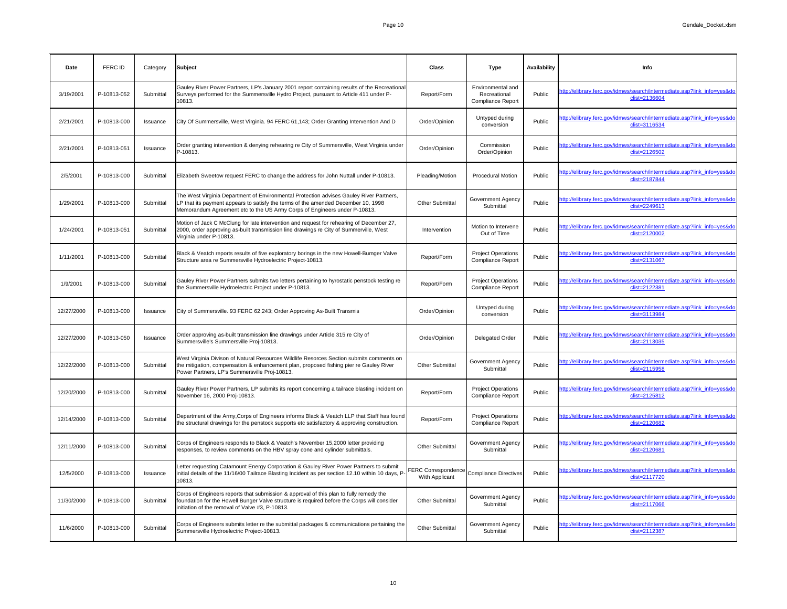| Date       | FERC ID     | Category  | Subject                                                                                                                                                                                                                                                   | <b>Class</b>                                                | <b>Type</b>                                                   | <b>Availability</b> | Info                                                                                     |
|------------|-------------|-----------|-----------------------------------------------------------------------------------------------------------------------------------------------------------------------------------------------------------------------------------------------------------|-------------------------------------------------------------|---------------------------------------------------------------|---------------------|------------------------------------------------------------------------------------------|
| 3/19/2001  | P-10813-052 | Submittal | Gauley River Power Partners, LP's January 2001 report containing results of the Recreational<br>Surveys performed for the Summersville Hydro Project, pursuant to Article 411 under P-<br>10813.                                                          | Report/Form                                                 | Environmental and<br>Recreational<br><b>Compliance Report</b> | Public              | http://elibrary.ferc.gov/idmws/search/intermediate.asp?link_info=yes&do<br>clist=2136604 |
| 2/21/2001  | P-10813-000 | Issuance  | City Of Summersville, West Virginia. 94 FERC 61,143; Order Granting Intervention And D                                                                                                                                                                    | Order/Opinion                                               | Untyped during<br>conversion                                  | Public              | http://elibrary.ferc.gov/idmws/search/intermediate.asp?link_info=yes&do<br>clist=3116534 |
| 2/21/2001  | P-10813-051 | Issuance  | Order granting intervention & denying rehearing re City of Summersville, West Virginia under<br>P-10813.                                                                                                                                                  | Order/Opinion                                               | Commission<br>Order/Opinion                                   | Public              | http://elibrary.ferc.gov/idmws/search/intermediate.asp?link_info=yes&do<br>clist=2126502 |
| 2/5/2001   | P-10813-000 | Submittal | Elizabeth Sweetow request FERC to change the address for John Nuttall under P-10813.                                                                                                                                                                      | Pleading/Motion                                             | <b>Procedural Motion</b>                                      | Public              | http://elibrary.ferc.gov/idmws/search/intermediate.asp?link_info=yes&do<br>clist=2187844 |
| 1/29/2001  | P-10813-000 | Submittal | The West Virginia Department of Environmental Protection advises Gauley River Partners,<br>LP that its payment appears to satisfy the terms of the amended December 10, 1998<br>Memorandum Agreement etc to the US Army Corps of Engineers under P-10813. | <b>Other Submittal</b>                                      | <b>Government Agency</b><br>Submittal                         | Public              | http://elibrary.ferc.gov/idmws/search/intermediate.asp?link info=yes&do<br>clist=2249613 |
| 1/24/2001  | P-10813-051 | Submittal | Motion of Jack C McClung for late intervention and request for rehearing of December 27,<br>2000, order approving as-built transmission line drawings re City of Summerville, West<br>Virginia under P-10813.                                             | Intervention                                                | Motion to Intervene<br>Out of Time                            | Public              | http://elibrary.ferc.gov/idmws/search/intermediate.asp?link_info=yes&do<br>clist=2120002 |
| 1/11/2001  | P-10813-000 | Submittal | Black & Veatch reports results of five exploratory borings in the new Howell-Bumger Valve<br>Structure area re Summersville Hydroelectric Project-10813.                                                                                                  | Report/Form                                                 | <b>Project Operations</b><br><b>Compliance Report</b>         | Public              | http://elibrary.ferc.gov/idmws/search/intermediate.asp?link_info=yes&do<br>clist=2131067 |
| 1/9/2001   | P-10813-000 | Submittal | Gauley River Power Partners submits two letters pertaining to hyrostatic penstock testing re<br>the Summersville Hydroelectric Project under P-10813.                                                                                                     | Report/Form                                                 | <b>Project Operations</b><br><b>Compliance Report</b>         | Public              | http://elibrary.ferc.gov/idmws/search/intermediate.asp?link_info=yes&do<br>clist=2122381 |
| 12/27/2000 | P-10813-000 | Issuance  | City of Summersville. 93 FERC 62,243; Order Approving As-Built Transmis                                                                                                                                                                                   | Order/Opinion                                               | Untyped during<br>conversion                                  | Public              | http://elibrary.ferc.gov/idmws/search/intermediate.asp?link_info=yes&do<br>clist=3113984 |
| 12/27/2000 | P-10813-050 | Issuance  | Order approving as-built transmission line drawings under Article 315 re City of<br>Summersville's Summersville Proj-10813.                                                                                                                               | Order/Opinion                                               | <b>Delegated Order</b>                                        | Public              | http://elibrary.ferc.gov/idmws/search/intermediate.asp?link_info=yes&do<br>clist=2113035 |
| 12/22/2000 | P-10813-000 | Submittal | West Virginia Divison of Natural Resources Wildlife Resorces Section submits comments on<br>the mitigation, compensation & enhancement plan, proposed fishing pier re Gauley River<br>Power Partners, LP's Summersville Proj-10813.                       | <b>Other Submittal</b>                                      | <b>Government Agency</b><br>Submittal                         | Public              | http://elibrary.ferc.gov/idmws/search/intermediate.asp?link_info=yes&do<br>clist=2115958 |
| 12/20/2000 | P-10813-000 | Submittal | Gauley River Power Partners, LP submits its report concerning a tailrace blasting incident on<br>November 16, 2000 Proj-10813.                                                                                                                            | Report/Form                                                 | <b>Project Operations</b><br><b>Compliance Report</b>         | Public              | http://elibrary.ferc.gov/idmws/search/intermediate.asp?link_info=yes&do<br>clist=2125812 |
| 12/14/2000 | P-10813-000 | Submittal | Department of the Army, Corps of Engineers informs Black & Veatch LLP that Staff has found<br>the structural drawings for the penstock supports etc satisfactory & approving construction.                                                                | Report/Form                                                 | <b>Project Operations</b><br><b>Compliance Report</b>         | Public              | http://elibrary.ferc.gov/idmws/search/intermediate.asp?link_info=yes&do<br>clist=2120682 |
| 12/11/2000 | P-10813-000 | Submittal | Corps of Engineers responds to Black & Veatch's November 15,2000 letter providing<br>responses, to review comments on the HBV spray cone and cylinder submittals.                                                                                         | <b>Other Submittal</b>                                      | <b>Government Agency</b><br>Submittal                         | Public              | http://elibrary.ferc.gov/idmws/search/intermediate.asp?link_info=yes&do<br>clist=2120681 |
| 12/5/2000  | P-10813-000 | Issuance  | Letter requesting Catamount Energy Corporation & Gauley River Power Partners to submit<br>initial details of the 11/16/00 Tailrace Blasting Incident as per section 12.10 within 10 days, P-<br>10813.                                                    | FERC Correspondence Compliance Directives<br>With Applicant |                                                               | Public              | http://elibrary.ferc.gov/idmws/search/intermediate.asp?link_info=yes&do<br>clist=2117720 |
| 11/30/2000 | P-10813-000 | Submittal | Corps of Engineers reports that submission & approval of this plan to fully remedy the<br>foundation for the Howell Bunger Valve structure is required before the Corps will consider<br>initiation of the removal of Valve #3, P-10813.                  | <b>Other Submittal</b>                                      | <b>Government Agency</b><br>Submittal                         | Public              | http://elibrary.ferc.gov/idmws/search/intermediate.asp?link_info=yes&do<br>clist=2117066 |
| 11/6/2000  | P-10813-000 | Submittal | Corps of Engineers submits letter re the submittal packages & communications pertaining the<br>Summersville Hydroelectric Project-10813.                                                                                                                  | <b>Other Submittal</b>                                      | <b>Government Agency</b><br>Submittal                         | Public              | http://elibrary.ferc.gov/idmws/search/intermediate.asp?link_info=yes&do<br>clist=2112387 |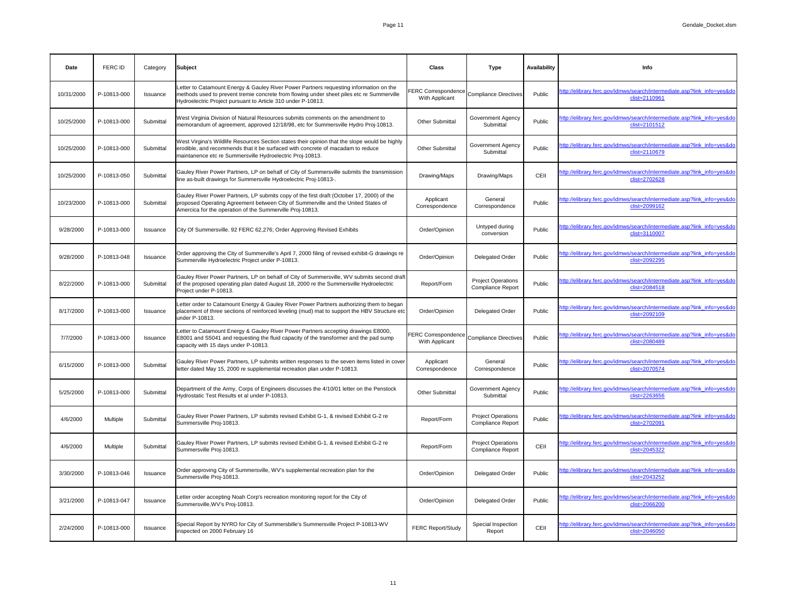| Date       | <b>FERC ID</b> | Category  | <b>Subject</b>                                                                                                                                                                                                                                      | <b>Class</b>                          | <b>Type</b>                                           | <b>Availability</b> | Info                                                                                     |
|------------|----------------|-----------|-----------------------------------------------------------------------------------------------------------------------------------------------------------------------------------------------------------------------------------------------------|---------------------------------------|-------------------------------------------------------|---------------------|------------------------------------------------------------------------------------------|
| 10/31/2000 | P-10813-000    | Issuance  | Letter to Catamount Energy & Gauley River Power Partners requesting information on the<br>methods used to prevent tremie concrete from flowing under sheet piles etc re Summerville<br>Hydroelectric Project pursuant to Article 310 under P-10813. | FERC Correspondence<br>With Applicant | Compliance Directives                                 | Public              | http://elibrary.ferc.gov/idmws/search/intermediate.asp?link_info=yes&do<br>clist=2110961 |
| 10/25/2000 | P-10813-000    | Submittal | West Virginia Division of Natural Resources submits comments on the amendment to<br>memorandum of agreement, approved 12/18/98, etc for Summersville Hydro Proj-10813.                                                                              | <b>Other Submittal</b>                | <b>Government Agency</b><br>Submittal                 | Public              | http://elibrary.ferc.gov/idmws/search/intermediate.asp?link_info=yes&do<br>clist=2101512 |
| 10/25/2000 | P-10813-000    | Submittal | West Virgina's Wildlife Resources Section states their opinion that the slope would be highly<br>erodible, and recommends that it be surfaced with concrete of macadam to reduce<br>maintanence etc re Summersville Hydroelectric Proj-10813.       | <b>Other Submittal</b>                | <b>Government Agency</b><br>Submittal                 | Public              | http://elibrary.ferc.gov/idmws/search/intermediate.asp?link_info=yes&do<br>clist=2110679 |
| 10/25/2000 | P-10813-050    | Submittal | Gauley River Power Partners, LP on behalf of City of Summersville submits the transmission<br>line as-built drawings for Summersville Hydroelectric Proj-10813-.                                                                                    | Drawing/Maps                          | Drawing/Maps                                          | CEII                | http://elibrary.ferc.gov/idmws/search/intermediate.asp?link_info=yes&do<br>clist=2702628 |
| 10/23/2000 | P-10813-000    | Submittal | Gauley River Power Partners, LP submits copy of the first draft (October 17, 2000) of the<br>proposed Operating Agreement between City of Summerville and the United States of<br>Amercica for the operation of the Summerville Proj-10813.         | Applicant<br>Correspondence           | General<br>Correspondence                             | Public              | http://elibrary.ferc.gov/idmws/search/intermediate.asp?link_info=yes&do<br>clist=2099162 |
| 9/28/2000  | P-10813-000    | Issuance  | City Of Summersville. 92 FERC 62,276; Order Approving Revised Exhibits                                                                                                                                                                              | Order/Opinion                         | Untyped during<br>conversion                          | Public              | http://elibrary.ferc.gov/idmws/search/intermediate.asp?link_info=yes&do<br>clist=3110007 |
| 9/28/2000  | P-10813-048    | Issuance  | Order approving the City of Summerville's April 7, 2000 filing of revised exhibit-G drawings re<br>Summerville Hydroelectric Project under P-10813.                                                                                                 | Order/Opinion                         | <b>Delegated Order</b>                                | Public              | http://elibrary.ferc.gov/idmws/search/intermediate.asp?link_info=yes&do<br>clist=2092295 |
| 8/22/2000  | P-10813-000    | Submittal | Gauley River Power Partners, LP on behalf of City of Summersville, WV submits second draft<br>of the proposed operating plan dated August 18, 2000 re the Summersville Hydroelectric<br>Project under P-10813.                                      | Report/Form                           | <b>Project Operations</b><br><b>Compliance Report</b> | Public              | http://elibrary.ferc.gov/idmws/search/intermediate.asp?link_info=yes&do<br>clist=2084518 |
| 8/17/2000  | P-10813-000    | Issuance  | Letter order to Catamount Energy & Gauley River Power Partners authorizing them to began<br>placement of three sections of reinforced leveling (mud) mat to support the HBV Structure etc<br>under P-10813.                                         | Order/Opinion                         | <b>Delegated Order</b>                                | Public              | http://elibrary.ferc.gov/idmws/search/intermediate.asp?link_info=yes&do<br>clist=2092109 |
| 7/7/2000   | P-10813-000    | Issuance  | Letter to Catamount Energy & Gauley River Power Partners accepting drawings E8000,<br>E8001 and S5041 and requesting the fluid capacity of the transformer and the pad sump<br>capacity with 15 days under P-10813.                                 | FERC Correspondence<br>With Applicant | Compliance Directives                                 | Public              | http://elibrary.ferc.gov/idmws/search/intermediate.asp?link_info=yes&do<br>clist=2080489 |
| 6/15/2000  | P-10813-000    | Submittal | Gauley River Power Partners, LP submits written responses to the seven items listed in cover<br>letter dated May 15, 2000 re supplemental recreation plan under P-10813.                                                                            | Applicant<br>Correspondence           | General<br>Correspondence                             | Public              | http://elibrary.ferc.gov/idmws/search/intermediate.asp?link_info=yes&do<br>clist=2070574 |
| 5/25/2000  | P-10813-000    | Submittal | Department of the Army, Corps of Engineers discusses the 4/10/01 letter on the Penstock<br>Hydrostatic Test Results et al under P-10813.                                                                                                            | <b>Other Submittal</b>                | <b>Government Agency</b><br>Submittal                 | Public              | http://elibrary.ferc.gov/idmws/search/intermediate.asp?link_info=yes&do<br>clist=2263656 |
| 4/6/2000   | Multiple       | Submittal | Gauley River Power Partners, LP submits revised Exhibit G-1, & revised Exhibit G-2 re<br>Summersville Proj-10813.                                                                                                                                   | Report/Form                           | <b>Project Operations</b><br><b>Compliance Report</b> | Public              | http://elibrary.ferc.gov/idmws/search/intermediate.asp?link_info=yes&do<br>clist=2702091 |
| 4/6/2000   | Multiple       | Submittal | Gauley River Power Partners, LP submits revised Exhibit G-1, & revised Exhibit G-2 re<br>Summersville Proj-10813.                                                                                                                                   | Report/Form                           | <b>Project Operations</b><br><b>Compliance Report</b> | CEII                | http://elibrary.ferc.gov/idmws/search/intermediate.asp?link_info=yes&do<br>clist=2045322 |
| 3/30/2000  | P-10813-046    | Issuance  | Order approving City of Summersville, WV's supplemental recreation plan for the<br>Summersville Proj-10813.                                                                                                                                         | Order/Opinion                         | <b>Delegated Order</b>                                | Public              | http://elibrary.ferc.gov/idmws/search/intermediate.asp?link_info=yes&do<br>clist=2043252 |
| 3/21/2000  | P-10813-047    | Issuance  | Letter order accepting Noah Corp's recreation monitoring report for the City of<br>Summersville, WV's Proj-10813.                                                                                                                                   | Order/Opinion                         | <b>Delegated Order</b>                                | Public              | http://elibrary.ferc.gov/idmws/search/intermediate.asp?link_info=yes&do<br>clist=2066200 |
| 2/24/2000  | P-10813-000    | Issuance  | Special Report by NYRO for City of Summersbille's Summersville Project P-10813-WV<br>inspected on 2000 February 16                                                                                                                                  | <b>FERC Report/Study</b>              | Special Inspection<br>Report                          | CEII                | http://elibrary.ferc.gov/idmws/search/intermediate.asp?link_info=yes&do<br>clist=2046050 |